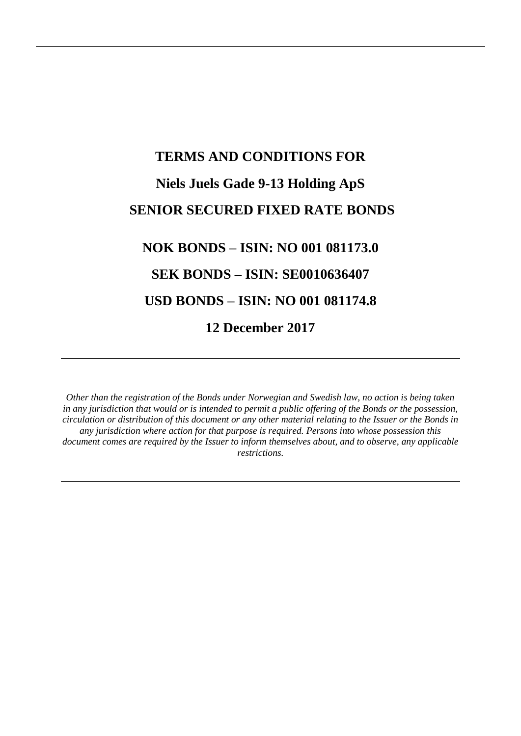# **TERMS AND CONDITIONS FOR Niels Juels Gade 9-13 Holding ApS SENIOR SECURED FIXED RATE BONDS NOK BONDS – ISIN: NO 001 081173.0 SEK BONDS – ISIN: SE0010636407 USD BONDS – ISIN: NO 001 081174.8**

**12 December 2017**

*Other than the registration of the Bonds under Norwegian and Swedish law, no action is being taken in any jurisdiction that would or is intended to permit a public offering of the Bonds or the possession, circulation or distribution of this document or any other material relating to the Issuer or the Bonds in any jurisdiction where action for that purpose is required. Persons into whose possession this document comes are required by the Issuer to inform themselves about, and to observe, any applicable restrictions.*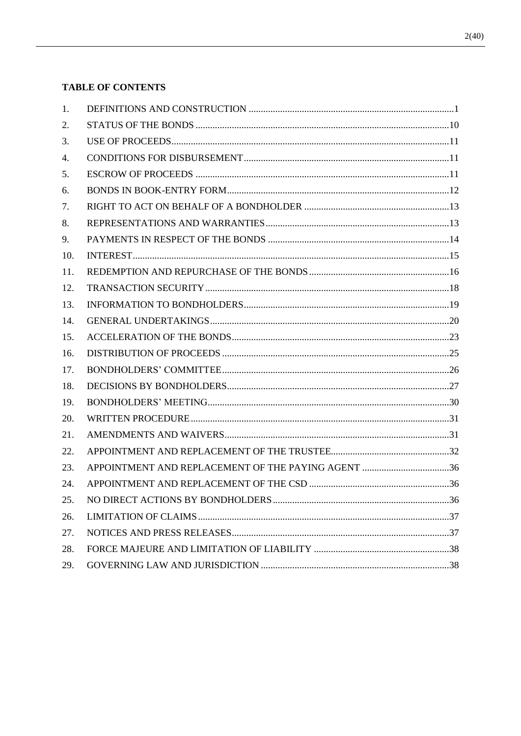# **TABLE OF CONTENTS**

| 1.  |                                                    |  |
|-----|----------------------------------------------------|--|
| 2.  |                                                    |  |
| 3.  |                                                    |  |
| 4.  |                                                    |  |
| 5.  |                                                    |  |
| 6.  |                                                    |  |
| 7.  |                                                    |  |
| 8.  |                                                    |  |
| 9.  |                                                    |  |
| 10. |                                                    |  |
| 11. |                                                    |  |
| 12. |                                                    |  |
| 13. |                                                    |  |
| 14. |                                                    |  |
| 15. |                                                    |  |
| 16. |                                                    |  |
| 17. |                                                    |  |
| 18. |                                                    |  |
| 19. |                                                    |  |
| 20. |                                                    |  |
| 21. |                                                    |  |
| 22. |                                                    |  |
| 23. | APPOINTMENT AND REPLACEMENT OF THE PAYING AGENT 36 |  |
| 24. |                                                    |  |
| 25. |                                                    |  |
| 26. |                                                    |  |
| 27. |                                                    |  |
| 28. |                                                    |  |
| 29. |                                                    |  |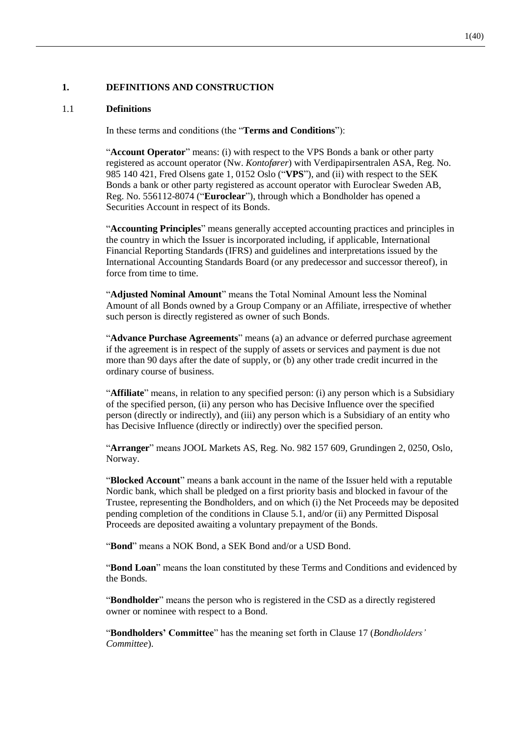# **1. DEFINITIONS AND CONSTRUCTION**

## 1.1 **Definitions**

In these terms and conditions (the "**Terms and Conditions**"):

"**Account Operator**" means: (i) with respect to the VPS Bonds a bank or other party registered as account operator (Nw. *Kontofører*) with Verdipapirsentralen ASA, Reg. No. 985 140 421, Fred Olsens gate 1, 0152 Oslo ("**VPS**"), and (ii) with respect to the SEK Bonds a bank or other party registered as account operator with Euroclear Sweden AB, Reg. No. 556112-8074 ("**Euroclear**"), through which a Bondholder has opened a Securities Account in respect of its Bonds.

"**Accounting Principles**" means generally accepted accounting practices and principles in the country in which the Issuer is incorporated including, if applicable, International Financial Reporting Standards (IFRS) and guidelines and interpretations issued by the International Accounting Standards Board (or any predecessor and successor thereof), in force from time to time.

"**Adjusted Nominal Amount**" means the Total Nominal Amount less the Nominal Amount of all Bonds owned by a Group Company or an Affiliate, irrespective of whether such person is directly registered as owner of such Bonds.

"**Advance Purchase Agreements**" means (a) an advance or deferred purchase agreement if the agreement is in respect of the supply of assets or services and payment is due not more than 90 days after the date of supply, or (b) any other trade credit incurred in the ordinary course of business.

"**Affiliate**" means, in relation to any specified person: (i) any person which is a Subsidiary of the specified person, (ii) any person who has Decisive Influence over the specified person (directly or indirectly), and (iii) any person which is a Subsidiary of an entity who has Decisive Influence (directly or indirectly) over the specified person.

"**Arranger**" means JOOL Markets AS, Reg. No. 982 157 609, Grundingen 2, 0250, Oslo, Norway.

"**Blocked Account**" means a bank account in the name of the Issuer held with a reputable Nordic bank, which shall be pledged on a first priority basis and blocked in favour of the Trustee, representing the Bondholders, and on which (i) the Net Proceeds may be deposited pending completion of the conditions in Clause [5.1,](#page-12-0) and/or (ii) any Permitted Disposal Proceeds are deposited awaiting a voluntary prepayment of the Bonds.

"**Bond**" means a NOK Bond, a SEK Bond and/or a USD Bond.

"**Bond Loan**" means the loan constituted by these Terms and Conditions and evidenced by the Bonds.

"**Bondholder**" means the person who is registered in the CSD as a directly registered owner or nominee with respect to a Bond.

"**Bondholders' Committee**" has the meaning set forth in Clause [17](#page-27-0) (*Bondholders' Committee*).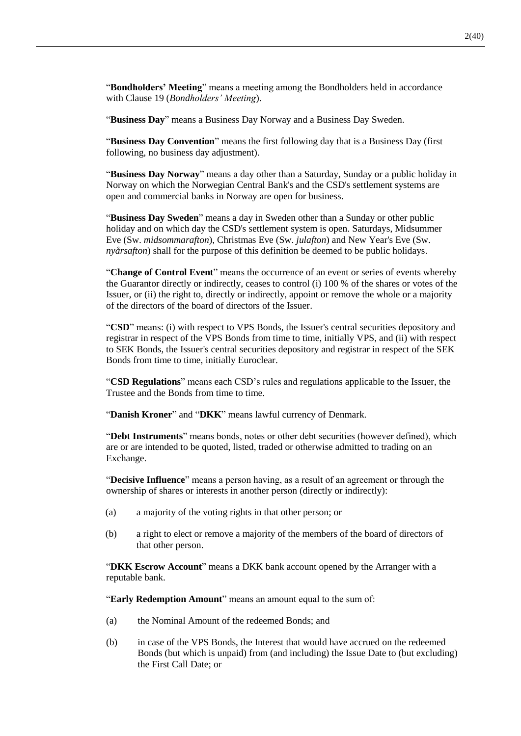"**Bondholders' Meeting**" means a meeting among the Bondholders held in accordance with Clause [19](#page-31-0) (*Bondholders' Meeting*).

"**Business Day**" means a Business Day Norway and a Business Day Sweden.

"**Business Day Convention**" means the first following day that is a Business Day (first following, no business day adjustment).

"**Business Day Norway**" means a day other than a Saturday, Sunday or a public holiday in Norway on which the Norwegian Central Bank's and the CSD's settlement systems are open and commercial banks in Norway are open for business.

"**Business Day Sweden**" means a day in Sweden other than a Sunday or other public holiday and on which day the CSD's settlement system is open. Saturdays, Midsummer Eve (Sw. *midsommarafton*), Christmas Eve (Sw. *julafton*) and New Year's Eve (Sw. *nyårsafton*) shall for the purpose of this definition be deemed to be public holidays.

"**Change of Control Event**" means the occurrence of an event or series of events whereby the Guarantor directly or indirectly, ceases to control (i) 100 % of the shares or votes of the Issuer, or (ii) the right to, directly or indirectly, appoint or remove the whole or a majority of the directors of the board of directors of the Issuer.

"**CSD**" means: (i) with respect to VPS Bonds, the Issuer's central securities depository and registrar in respect of the VPS Bonds from time to time, initially VPS, and (ii) with respect to SEK Bonds, the Issuer's central securities depository and registrar in respect of the SEK Bonds from time to time, initially Euroclear.

"**CSD Regulations**" means each CSD's rules and regulations applicable to the Issuer, the Trustee and the Bonds from time to time.

"**Danish Kroner**" and "**DKK**" means lawful currency of Denmark.

"**Debt Instruments**" means bonds, notes or other debt securities (however defined), which are or are intended to be quoted, listed, traded or otherwise admitted to trading on an Exchange.

"**Decisive Influence**" means a person having, as a result of an agreement or through the ownership of shares or interests in another person (directly or indirectly):

- (a) a majority of the voting rights in that other person; or
- (b) a right to elect or remove a majority of the members of the board of directors of that other person.

"**DKK Escrow Account**" means a DKK bank account opened by the Arranger with a reputable bank.

"**Early Redemption Amount**" means an amount equal to the sum of:

- (a) the Nominal Amount of the redeemed Bonds; and
- (b) in case of the VPS Bonds, the Interest that would have accrued on the redeemed Bonds (but which is unpaid) from (and including) the Issue Date to (but excluding) the First Call Date; or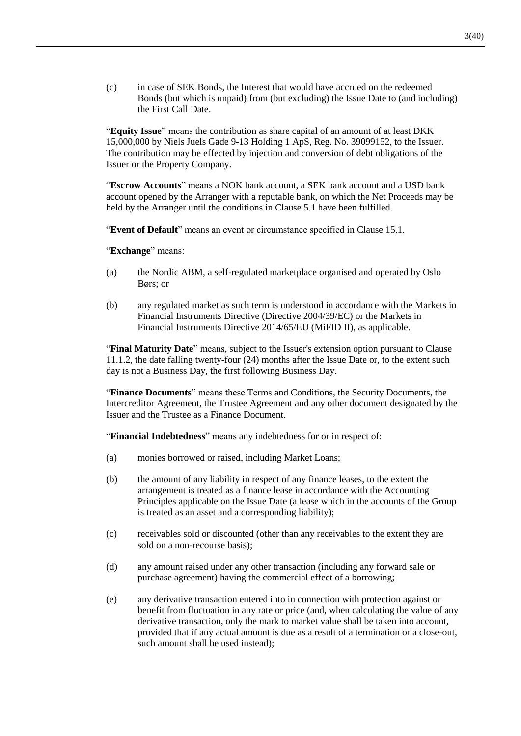(c) in case of SEK Bonds, the Interest that would have accrued on the redeemed Bonds (but which is unpaid) from (but excluding) the Issue Date to (and including) the First Call Date.

"**Equity Issue**" means the contribution as share capital of an amount of at least DKK 15,000,000 by Niels Juels Gade 9-13 Holding 1 ApS, Reg. No. 39099152, to the Issuer. The contribution may be effected by injection and conversion of debt obligations of the Issuer or the Property Company.

"**Escrow Accounts**" means a NOK bank account, a SEK bank account and a USD bank account opened by the Arranger with a reputable bank, on which the Net Proceeds may be held by the Arranger until the conditions in Clause [5.1](#page-12-0) have been fulfilled.

"**Event of Default**" means an event or circumstance specified in Clause [15.1.](#page-24-0)

"**Exchange**" means:

- (a) the Nordic ABM, a self-regulated marketplace organised and operated by Oslo Børs; or
- (b) any regulated market as such term is understood in accordance with the Markets in Financial Instruments Directive (Directive 2004/39/EC) or the Markets in Financial Instruments Directive 2014/65/EU (MiFID II), as applicable.

"**Final Maturity Date**" means, subject to the Issuer's extension option pursuant to Clause [11.1.2,](#page-17-0) the date falling twenty-four (24) months after the Issue Date or, to the extent such day is not a Business Day, the first following Business Day.

"**Finance Documents**" means these Terms and Conditions, the Security Documents, the Intercreditor Agreement, the Trustee Agreement and any other document designated by the Issuer and the Trustee as a Finance Document.

"**Financial Indebtedness**" means any indebtedness for or in respect of:

- (a) monies borrowed or raised, including Market Loans;
- (b) the amount of any liability in respect of any finance leases, to the extent the arrangement is treated as a finance lease in accordance with the Accounting Principles applicable on the Issue Date (a lease which in the accounts of the Group is treated as an asset and a corresponding liability);
- (c) receivables sold or discounted (other than any receivables to the extent they are sold on a non-recourse basis);
- (d) any amount raised under any other transaction (including any forward sale or purchase agreement) having the commercial effect of a borrowing;
- (e) any derivative transaction entered into in connection with protection against or benefit from fluctuation in any rate or price (and, when calculating the value of any derivative transaction, only the mark to market value shall be taken into account, provided that if any actual amount is due as a result of a termination or a close-out, such amount shall be used instead);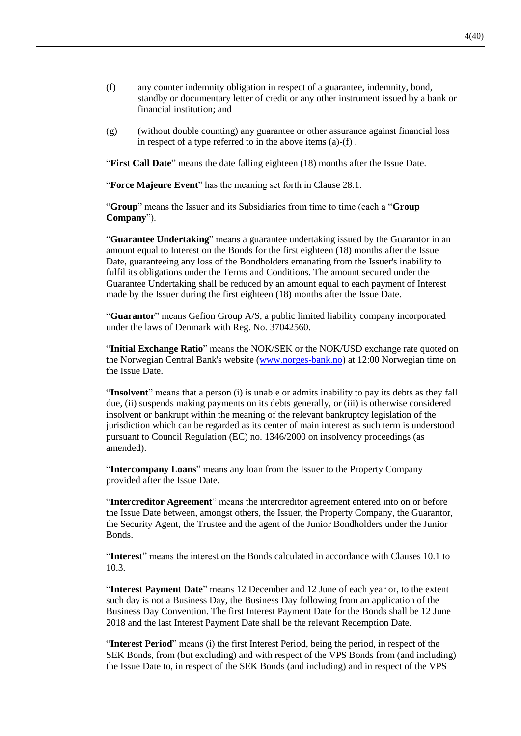- (f) any counter indemnity obligation in respect of a guarantee, indemnity, bond, standby or documentary letter of credit or any other instrument issued by a bank or financial institution; and
- (g) (without double counting) any guarantee or other assurance against financial loss in respect of a type referred to in the above items (a)-(f) .

"**First Call Date**" means the date falling eighteen (18) months after the Issue Date.

"**Force Majeure Event**" has the meaning set forth in Clause [28.1.](#page-39-0)

"**Group**" means the Issuer and its Subsidiaries from time to time (each a "**Group Company**").

"**Guarantee Undertaking**" means a guarantee undertaking issued by the Guarantor in an amount equal to Interest on the Bonds for the first eighteen (18) months after the Issue Date, guaranteeing any loss of the Bondholders emanating from the Issuer's inability to fulfil its obligations under the Terms and Conditions. The amount secured under the Guarantee Undertaking shall be reduced by an amount equal to each payment of Interest made by the Issuer during the first eighteen (18) months after the Issue Date.

"**Guarantor**" means Gefion Group A/S, a public limited liability company incorporated under the laws of Denmark with Reg. No. 37042560.

"**Initial Exchange Ratio**" means the NOK/SEK or the NOK/USD exchange rate quoted on the Norwegian Central Bank's website [\(www.norges-bank.no\)](http://www.norges-bank.no/) at 12:00 Norwegian time on the Issue Date.

"**Insolvent**" means that a person (i) is unable or admits inability to pay its debts as they fall due, (ii) suspends making payments on its debts generally, or (iii) is otherwise considered insolvent or bankrupt within the meaning of the relevant bankruptcy legislation of the jurisdiction which can be regarded as its center of main interest as such term is understood pursuant to Council Regulation (EC) no. 1346/2000 on insolvency proceedings (as amended).

"**Intercompany Loans**" means any loan from the Issuer to the Property Company provided after the Issue Date.

"**Intercreditor Agreement**" means the intercreditor agreement entered into on or before the Issue Date between, amongst others, the Issuer, the Property Company, the Guarantor, the Security Agent, the Trustee and the agent of the Junior Bondholders under the Junior Bonds.

"**Interest**" means the interest on the Bonds calculated in accordance with Clauses [10.1](#page-16-0) to [10.3.](#page-16-1)

"**Interest Payment Date**" means 12 December and 12 June of each year or, to the extent such day is not a Business Day, the Business Day following from an application of the Business Day Convention. The first Interest Payment Date for the Bonds shall be 12 June 2018 and the last Interest Payment Date shall be the relevant Redemption Date.

"**Interest Period**" means (i) the first Interest Period, being the period, in respect of the SEK Bonds, from (but excluding) and with respect of the VPS Bonds from (and including) the Issue Date to, in respect of the SEK Bonds (and including) and in respect of the VPS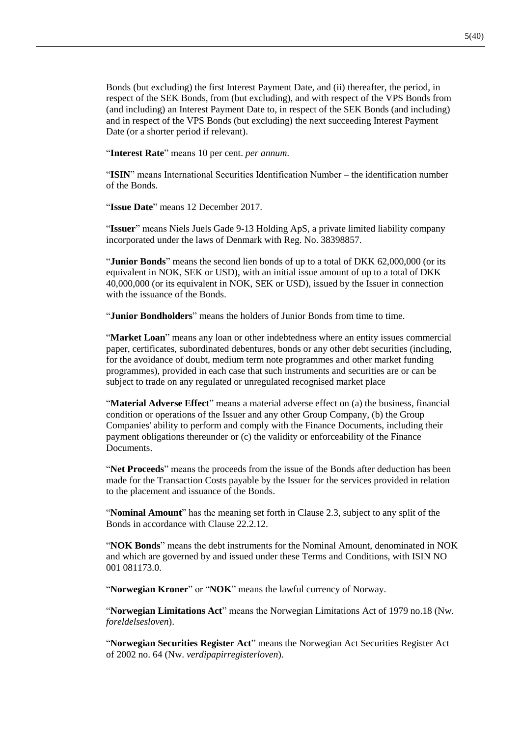Bonds (but excluding) the first Interest Payment Date, and (ii) thereafter, the period, in respect of the SEK Bonds, from (but excluding), and with respect of the VPS Bonds from (and including) an Interest Payment Date to, in respect of the SEK Bonds (and including) and in respect of the VPS Bonds (but excluding) the next succeeding Interest Payment Date (or a shorter period if relevant).

"**Interest Rate**" means 10 per cent. *per annum*.

"**ISIN**" means International Securities Identification Number – the identification number of the Bonds.

"**Issue Date**" means 12 December 2017.

"**Issuer**" means Niels Juels Gade 9-13 Holding ApS, a private limited liability company incorporated under the laws of Denmark with Reg. No. 38398857.

"**Junior Bonds**" means the second lien bonds of up to a total of DKK 62,000,000 (or its equivalent in NOK, SEK or USD), with an initial issue amount of up to a total of DKK 40,000,000 (or its equivalent in NOK, SEK or USD), issued by the Issuer in connection with the issuance of the Bonds.

"**Junior Bondholders**" means the holders of Junior Bonds from time to time.

"**Market Loan**" means any loan or other indebtedness where an entity issues commercial paper, certificates, subordinated debentures, bonds or any other debt securities (including, for the avoidance of doubt, medium term note programmes and other market funding programmes), provided in each case that such instruments and securities are or can be subject to trade on any regulated or unregulated recognised market place

"**Material Adverse Effect**" means a material adverse effect on (a) the business, financial condition or operations of the Issuer and any other Group Company, (b) the Group Companies' ability to perform and comply with the Finance Documents, including their payment obligations thereunder or (c) the validity or enforceability of the Finance **Documents** 

"**Net Proceeds**" means the proceeds from the issue of the Bonds after deduction has been made for the Transaction Costs payable by the Issuer for the services provided in relation to the placement and issuance of the Bonds.

"**Nominal Amount**" has the meaning set forth in Clause [2.3,](#page-11-0) subject to any split of the Bonds in accordance with Clause [22.2.12.](#page-35-0)

"**NOK Bonds**" means the debt instruments for the Nominal Amount, denominated in NOK and which are governed by and issued under these Terms and Conditions, with ISIN NO 001 081173.0.

"**Norwegian Kroner**" or "**NOK**" means the lawful currency of Norway.

"**Norwegian Limitations Act**" means the Norwegian Limitations Act of 1979 no.18 (Nw. *foreldelsesloven*).

"**Norwegian Securities Register Act**" means the Norwegian Act Securities Register Act of 2002 no. 64 (Nw. *verdipapirregisterloven*).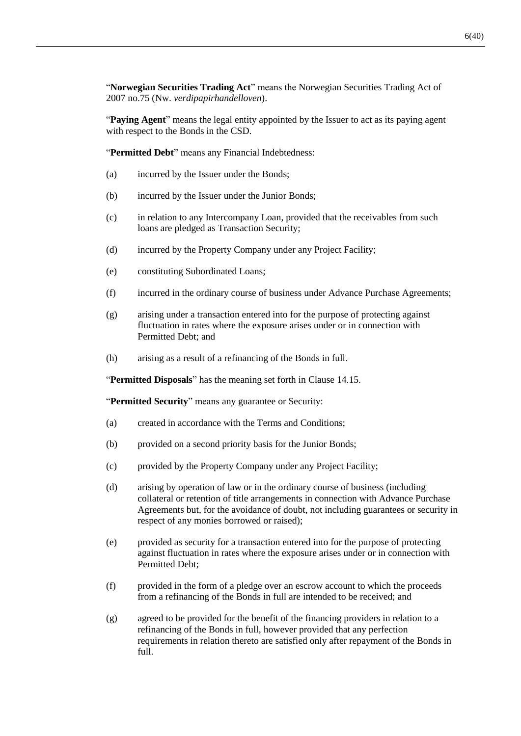"**Norwegian Securities Trading Act**" means the Norwegian Securities Trading Act of 2007 no.75 (Nw. *verdipapirhandelloven*).

"**Paying Agent**" means the legal entity appointed by the Issuer to act as its paying agent with respect to the Bonds in the CSD.

"**Permitted Debt**" means any Financial Indebtedness:

- (a) incurred by the Issuer under the Bonds;
- (b) incurred by the Issuer under the Junior Bonds;
- (c) in relation to any Intercompany Loan, provided that the receivables from such loans are pledged as Transaction Security;
- (d) incurred by the Property Company under any Project Facility;
- (e) constituting Subordinated Loans;
- (f) incurred in the ordinary course of business under Advance Purchase Agreements;
- (g) arising under a transaction entered into for the purpose of protecting against fluctuation in rates where the exposure arises under or in connection with Permitted Debt; and
- (h) arising as a result of a refinancing of the Bonds in full.

"**Permitted Disposals**" has the meaning set forth in Clause [14.15.](#page-23-0)

"**Permitted Security**" means any guarantee or Security:

- (a) created in accordance with the Terms and Conditions;
- (b) provided on a second priority basis for the Junior Bonds;
- (c) provided by the Property Company under any Project Facility;
- (d) arising by operation of law or in the ordinary course of business (including collateral or retention of title arrangements in connection with Advance Purchase Agreements but, for the avoidance of doubt, not including guarantees or security in respect of any monies borrowed or raised);
- (e) provided as security for a transaction entered into for the purpose of protecting against fluctuation in rates where the exposure arises under or in connection with Permitted Debt;
- (f) provided in the form of a pledge over an escrow account to which the proceeds from a refinancing of the Bonds in full are intended to be received; and
- (g) agreed to be provided for the benefit of the financing providers in relation to a refinancing of the Bonds in full, however provided that any perfection requirements in relation thereto are satisfied only after repayment of the Bonds in full.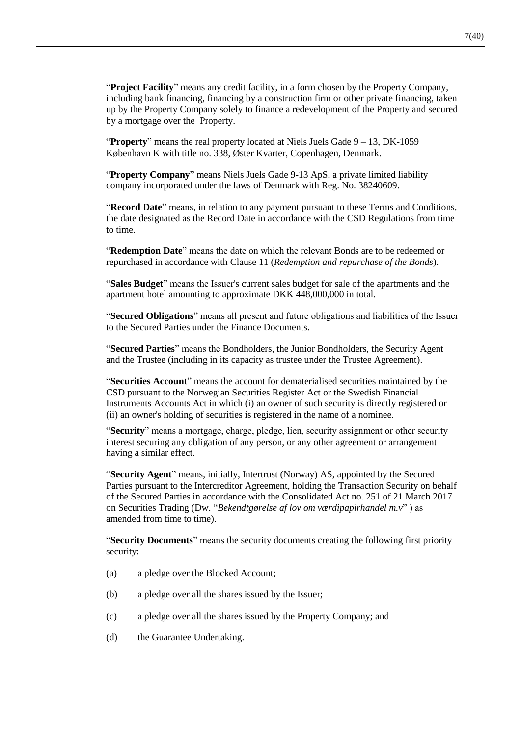"**Project Facility**" means any credit facility, in a form chosen by the Property Company, including bank financing, financing by a construction firm or other private financing, taken up by the Property Company solely to finance a redevelopment of the Property and secured by a mortgage over the Property.

"**Property**" means the real property located at Niels Juels Gade 9 – 13, DK-1059 København K with title no. 338, Øster Kvarter, Copenhagen, Denmark.

"**Property Company**" means Niels Juels Gade 9-13 ApS, a private limited liability company incorporated under the laws of Denmark with Reg. No. 38240609.

"**Record Date**" means, in relation to any payment pursuant to these Terms and Conditions, the date designated as the Record Date in accordance with the CSD Regulations from time to time.

"**Redemption Date**" means the date on which the relevant Bonds are to be redeemed or repurchased in accordance with Clause [11](#page-17-1) (*Redemption and repurchase of the Bonds*).

"**Sales Budget**" means the Issuer's current sales budget for sale of the apartments and the apartment hotel amounting to approximate DKK 448,000,000 in total.

"**Secured Obligations**" means all present and future obligations and liabilities of the Issuer to the Secured Parties under the Finance Documents.

"**Secured Parties**" means the Bondholders, the Junior Bondholders, the Security Agent and the Trustee (including in its capacity as trustee under the Trustee Agreement).

"**Securities Account**" means the account for dematerialised securities maintained by the CSD pursuant to the Norwegian Securities Register Act or the Swedish Financial Instruments Accounts Act in which (i) an owner of such security is directly registered or (ii) an owner's holding of securities is registered in the name of a nominee.

"**Security**" means a mortgage, charge, pledge, lien, security assignment or other security interest securing any obligation of any person, or any other agreement or arrangement having a similar effect.

"**Security Agent**" means, initially, Intertrust (Norway) AS, appointed by the Secured Parties pursuant to the Intercreditor Agreement, holding the Transaction Security on behalf of the Secured Parties in accordance with the Consolidated Act no. 251 of 21 March 2017 on Securities Trading (Dw. "*Bekendtgørelse af lov om værdipapirhandel m.v*" ) as amended from time to time).

"**Security Documents**" means the security documents creating the following first priority security:

- (a) a pledge over the Blocked Account;
- (b) a pledge over all the shares issued by the Issuer;
- (c) a pledge over all the shares issued by the Property Company; and
- (d) the Guarantee Undertaking.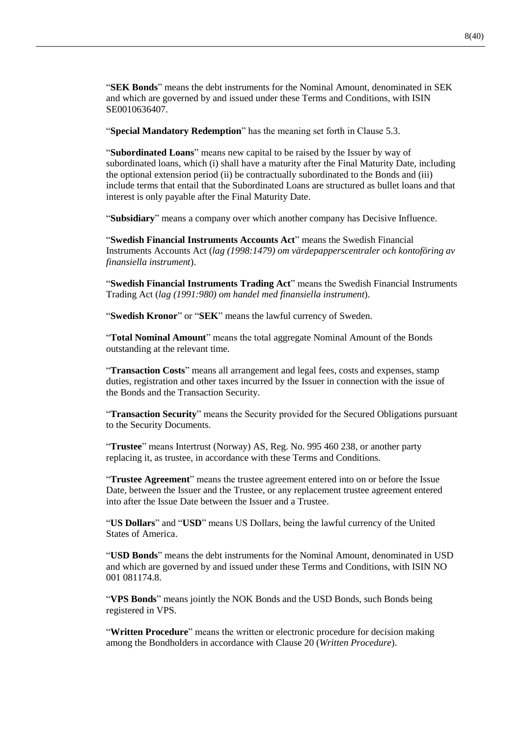"**SEK Bonds**" means the debt instruments for the Nominal Amount, denominated in SEK and which are governed by and issued under these Terms and Conditions, with ISIN SE0010636407.

"**Special Mandatory Redemption**" has the meaning set forth in Clause [5.3.](#page-13-0)

"**Subordinated Loans**" means new capital to be raised by the Issuer by way of subordinated loans, which (i) shall have a maturity after the Final Maturity Date, including the optional extension period (ii) be contractually subordinated to the Bonds and (iii) include terms that entail that the Subordinated Loans are structured as bullet loans and that interest is only payable after the Final Maturity Date.

"**Subsidiary**" means a company over which another company has Decisive Influence.

"**Swedish Financial Instruments Accounts Act**" means the Swedish Financial Instruments Accounts Act (*lag (1998:1479) om värdepapperscentraler och kontoföring av finansiella instrument*).

"**Swedish Financial Instruments Trading Act**" means the Swedish Financial Instruments Trading Act (*lag (1991:980) om handel med finansiella instrument*).

"**Swedish Kronor**" or "**SEK**" means the lawful currency of Sweden.

"**Total Nominal Amount**" means the total aggregate Nominal Amount of the Bonds outstanding at the relevant time.

"**Transaction Costs**" means all arrangement and legal fees, costs and expenses, stamp duties, registration and other taxes incurred by the Issuer in connection with the issue of the Bonds and the Transaction Security.

"**Transaction Security**" means the Security provided for the Secured Obligations pursuant to the Security Documents.

"**Trustee**" means Intertrust (Norway) AS, Reg. No. 995 460 238, or another party replacing it, as trustee, in accordance with these Terms and Conditions.

"**Trustee Agreement**" means the trustee agreement entered into on or before the Issue Date, between the Issuer and the Trustee, or any replacement trustee agreement entered into after the Issue Date between the Issuer and a Trustee.

"**US Dollars**" and "**USD**" means US Dollars, being the lawful currency of the United States of America.

"**USD Bonds**" means the debt instruments for the Nominal Amount, denominated in USD and which are governed by and issued under these Terms and Conditions, with ISIN NO 001 081174.8.

"**VPS Bonds**" means jointly the NOK Bonds and the USD Bonds, such Bonds being registered in VPS.

"**Written Procedure**" means the written or electronic procedure for decision making among the Bondholders in accordance with Clause [20](#page-32-0) (*Written Procedure*).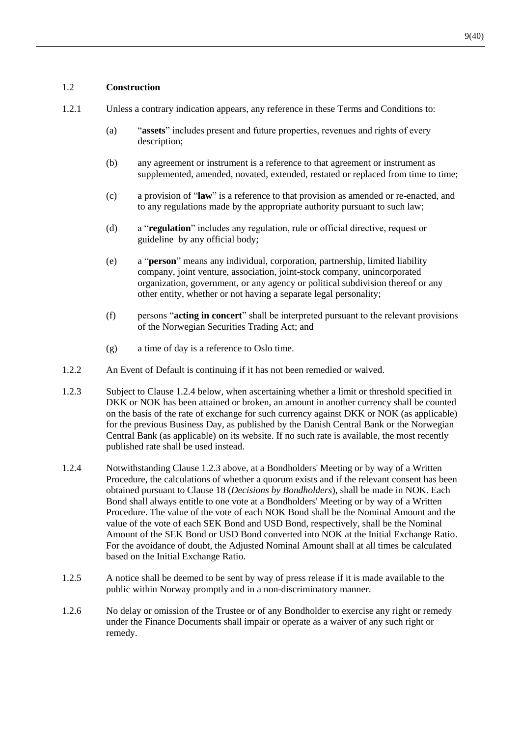## 1.2 **Construction**

- 1.2.1 Unless a contrary indication appears, any reference in these Terms and Conditions to:
	- (a) "**assets**" includes present and future properties, revenues and rights of every description;
	- (b) any agreement or instrument is a reference to that agreement or instrument as supplemented, amended, novated, extended, restated or replaced from time to time;
	- (c) a provision of "**law**" is a reference to that provision as amended or re-enacted, and to any regulations made by the appropriate authority pursuant to such law;
	- (d) a "**regulation**" includes any regulation, rule or official directive, request or guideline by any official body;
	- (e) a "**person**" means any individual, corporation, partnership, limited liability company, joint venture, association, joint-stock company, unincorporated organization, government, or any agency or political subdivision thereof or any other entity, whether or not having a separate legal personality;
	- (f) persons "**acting in concert**" shall be interpreted pursuant to the relevant provisions of the Norwegian Securities Trading Act; and
	- (g) a time of day is a reference to Oslo time.
- 1.2.2 An Event of Default is continuing if it has not been remedied or waived.
- <span id="page-10-1"></span>1.2.3 Subject to Clause [1.2.4](#page-10-0) below, when ascertaining whether a limit or threshold specified in DKK or NOK has been attained or broken, an amount in another currency shall be counted on the basis of the rate of exchange for such currency against DKK or NOK (as applicable) for the previous Business Day, as published by the Danish Central Bank or the Norwegian Central Bank (as applicable) on its website. If no such rate is available, the most recently published rate shall be used instead.
- <span id="page-10-0"></span>1.2.4 Notwithstanding Clause [1.2.3](#page-10-1) above, at a Bondholders' Meeting or by way of a Written Procedure, the calculations of whether a quorum exists and if the relevant consent has been obtained pursuant to Clause [18](#page-28-0) (*Decisions by Bondholders*), shall be made in NOK. Each Bond shall always entitle to one vote at a Bondholders' Meeting or by way of a Written Procedure. The value of the vote of each NOK Bond shall be the Nominal Amount and the value of the vote of each SEK Bond and USD Bond, respectively, shall be the Nominal Amount of the SEK Bond or USD Bond converted into NOK at the Initial Exchange Ratio. For the avoidance of doubt, the Adjusted Nominal Amount shall at all times be calculated based on the Initial Exchange Ratio.
- 1.2.5 A notice shall be deemed to be sent by way of press release if it is made available to the public within Norway promptly and in a non-discriminatory manner.
- 1.2.6 No delay or omission of the Trustee or of any Bondholder to exercise any right or remedy under the Finance Documents shall impair or operate as a waiver of any such right or remedy.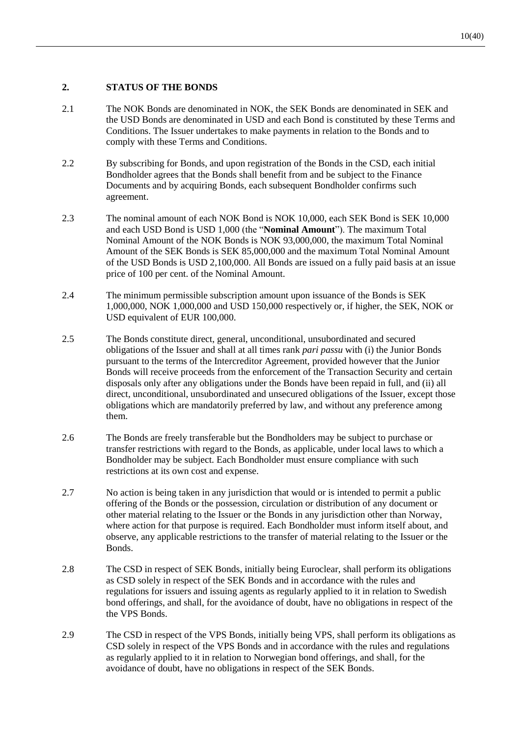# **2. STATUS OF THE BONDS**

- <span id="page-11-1"></span>2.1 The NOK Bonds are denominated in NOK, the SEK Bonds are denominated in SEK and the USD Bonds are denominated in USD and each Bond is constituted by these Terms and Conditions. The Issuer undertakes to make payments in relation to the Bonds and to comply with these Terms and Conditions.
- 2.2 By subscribing for Bonds, and upon registration of the Bonds in the CSD, each initial Bondholder agrees that the Bonds shall benefit from and be subject to the Finance Documents and by acquiring Bonds, each subsequent Bondholder confirms such agreement.
- <span id="page-11-0"></span>2.3 The nominal amount of each NOK Bond is NOK 10,000, each SEK Bond is SEK 10,000 and each USD Bond is USD 1,000 (the "**Nominal Amount**"). The maximum Total Nominal Amount of the NOK Bonds is NOK 93,000,000, the maximum Total Nominal Amount of the SEK Bonds is SEK 85,000,000 and the maximum Total Nominal Amount of the USD Bonds is USD 2,100,000. All Bonds are issued on a fully paid basis at an issue price of 100 per cent. of the Nominal Amount.
- <span id="page-11-2"></span>2.4 The minimum permissible subscription amount upon issuance of the Bonds is SEK 1,000,000, NOK 1,000,000 and USD 150,000 respectively or, if higher, the SEK, NOK or USD equivalent of EUR 100,000.
- 2.5 The Bonds constitute direct, general, unconditional, unsubordinated and secured obligations of the Issuer and shall at all times rank *pari passu* with (i) the Junior Bonds pursuant to the terms of the Intercreditor Agreement, provided however that the Junior Bonds will receive proceeds from the enforcement of the Transaction Security and certain disposals only after any obligations under the Bonds have been repaid in full, and (ii) all direct, unconditional, unsubordinated and unsecured obligations of the Issuer, except those obligations which are mandatorily preferred by law, and without any preference among them.
- 2.6 The Bonds are freely transferable but the Bondholders may be subject to purchase or transfer restrictions with regard to the Bonds, as applicable, under local laws to which a Bondholder may be subject. Each Bondholder must ensure compliance with such restrictions at its own cost and expense.
- <span id="page-11-3"></span>2.7 No action is being taken in any jurisdiction that would or is intended to permit a public offering of the Bonds or the possession, circulation or distribution of any document or other material relating to the Issuer or the Bonds in any jurisdiction other than Norway, where action for that purpose is required. Each Bondholder must inform itself about, and observe, any applicable restrictions to the transfer of material relating to the Issuer or the Bonds.
- 2.8 The CSD in respect of SEK Bonds, initially being Euroclear, shall perform its obligations as CSD solely in respect of the SEK Bonds and in accordance with the rules and regulations for issuers and issuing agents as regularly applied to it in relation to Swedish bond offerings, and shall, for the avoidance of doubt, have no obligations in respect of the the VPS Bonds.
- 2.9 The CSD in respect of the VPS Bonds, initially being VPS, shall perform its obligations as CSD solely in respect of the VPS Bonds and in accordance with the rules and regulations as regularly applied to it in relation to Norwegian bond offerings, and shall, for the avoidance of doubt, have no obligations in respect of the SEK Bonds.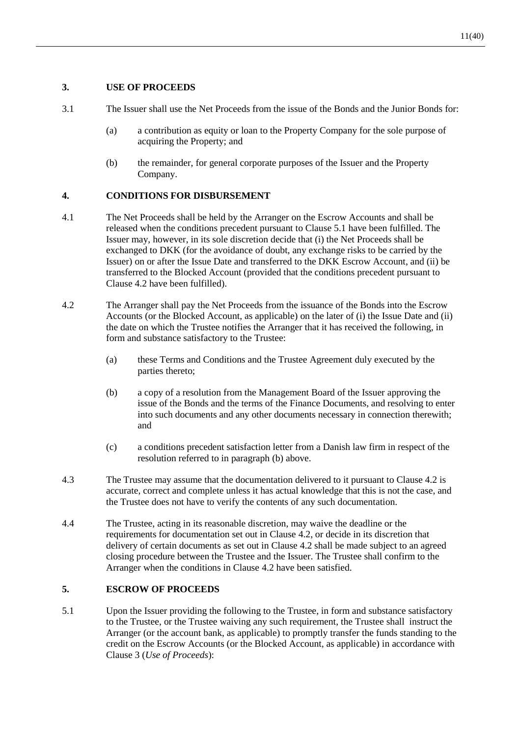# <span id="page-12-2"></span>**3. USE OF PROCEEDS**

- 3.1 The Issuer shall use the Net Proceeds from the issue of the Bonds and the Junior Bonds for:
	- (a) a contribution as equity or loan to the Property Company for the sole purpose of acquiring the Property; and
	- (b) the remainder, for general corporate purposes of the Issuer and the Property Company.

# **4. CONDITIONS FOR DISBURSEMENT**

- 4.1 The Net Proceeds shall be held by the Arranger on the Escrow Accounts and shall be released when the conditions precedent pursuant to Claus[e 5.1](#page-12-0) have been fulfilled. The Issuer may, however, in its sole discretion decide that (i) the Net Proceeds shall be exchanged to DKK (for the avoidance of doubt, any exchange risks to be carried by the Issuer) on or after the Issue Date and transferred to the DKK Escrow Account, and (ii) be transferred to the Blocked Account (provided that the conditions precedent pursuant to Clause [4.2](#page-12-1) have been fulfilled).
- <span id="page-12-1"></span>4.2 The Arranger shall pay the Net Proceeds from the issuance of the Bonds into the Escrow Accounts (or the Blocked Account, as applicable) on the later of (i) the Issue Date and (ii) the date on which the Trustee notifies the Arranger that it has received the following, in form and substance satisfactory to the Trustee:
	- (a) these Terms and Conditions and the Trustee Agreement duly executed by the parties thereto;
	- (b) a copy of a resolution from the Management Board of the Issuer approving the issue of the Bonds and the terms of the Finance Documents, and resolving to enter into such documents and any other documents necessary in connection therewith; and
	- (c) a conditions precedent satisfaction letter from a Danish law firm in respect of the resolution referred to in paragraph (b) above.
- 4.3 The Trustee may assume that the documentation delivered to it pursuant to Clause [4.2](#page-12-1) is accurate, correct and complete unless it has actual knowledge that this is not the case, and the Trustee does not have to verify the contents of any such documentation.
- 4.4 The Trustee, acting in its reasonable discretion, may waive the deadline or the requirements for documentation set out in Clause [4.2,](#page-12-1) or decide in its discretion that delivery of certain documents as set out in Clause [4.2](#page-12-1) shall be made subject to an agreed closing procedure between the Trustee and the Issuer. The Trustee shall confirm to the Arranger when the conditions in Clause [4.2](#page-12-1) have been satisfied.

#### <span id="page-12-3"></span>**5. ESCROW OF PROCEEDS**

<span id="page-12-0"></span>5.1 Upon the Issuer providing the following to the Trustee, in form and substance satisfactory to the Trustee, or the Trustee waiving any such requirement, the Trustee shall instruct the Arranger (or the account bank, as applicable) to promptly transfer the funds standing to the credit on the Escrow Accounts (or the Blocked Account, as applicable) in accordance with Clause [3](#page-12-2) (*Use of Proceeds*):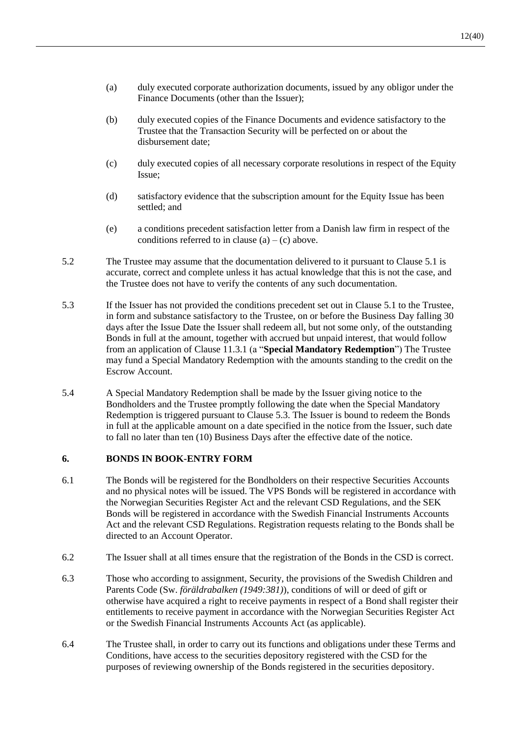- (a) duly executed corporate authorization documents, issued by any obligor under the Finance Documents (other than the Issuer);
- (b) duly executed copies of the Finance Documents and evidence satisfactory to the Trustee that the Transaction Security will be perfected on or about the disbursement date;
- (c) duly executed copies of all necessary corporate resolutions in respect of the Equity Issue;
- (d) satisfactory evidence that the subscription amount for the Equity Issue has been settled; and
- (e) a conditions precedent satisfaction letter from a Danish law firm in respect of the conditions referred to in clause  $(a) - (c)$  above.
- 5.2 The Trustee may assume that the documentation delivered to it pursuant to Clause [5.1](#page-12-0) is accurate, correct and complete unless it has actual knowledge that this is not the case, and the Trustee does not have to verify the contents of any such documentation.
- <span id="page-13-0"></span>5.3 If the Issuer has not provided the conditions precedent set out in Claus[e 5.1](#page-12-0) to the Trustee, in form and substance satisfactory to the Trustee, on or before the Business Day falling 30 days after the Issue Date the Issuer shall redeem all, but not some only, of the outstanding Bonds in full at the amount, together with accrued but unpaid interest, that would follow from an application of Clause [11.3.1](#page-17-2) (a "**Special Mandatory Redemption**") The Trustee may fund a Special Mandatory Redemption with the amounts standing to the credit on the Escrow Account.
- 5.4 A Special Mandatory Redemption shall be made by the Issuer giving notice to the Bondholders and the Trustee promptly following the date when the Special Mandatory Redemption is triggered pursuant to Clause [5.3.](#page-13-0) The Issuer is bound to redeem the Bonds in full at the applicable amount on a date specified in the notice from the Issuer, such date to fall no later than ten (10) Business Days after the effective date of the notice.

#### **6. BONDS IN BOOK-ENTRY FORM**

- 6.1 The Bonds will be registered for the Bondholders on their respective Securities Accounts and no physical notes will be issued. The VPS Bonds will be registered in accordance with the Norwegian Securities Register Act and the relevant CSD Regulations, and the SEK Bonds will be registered in accordance with the Swedish Financial Instruments Accounts Act and the relevant CSD Regulations. Registration requests relating to the Bonds shall be directed to an Account Operator.
- 6.2 The Issuer shall at all times ensure that the registration of the Bonds in the CSD is correct.
- 6.3 Those who according to assignment, Security, the provisions of the Swedish Children and Parents Code (Sw. *föräldrabalken (1949:381)*), conditions of will or deed of gift or otherwise have acquired a right to receive payments in respect of a Bond shall register their entitlements to receive payment in accordance with the Norwegian Securities Register Act or the Swedish Financial Instruments Accounts Act (as applicable).
- <span id="page-13-1"></span>6.4 The Trustee shall, in order to carry out its functions and obligations under these Terms and Conditions, have access to the securities depository registered with the CSD for the purposes of reviewing ownership of the Bonds registered in the securities depository.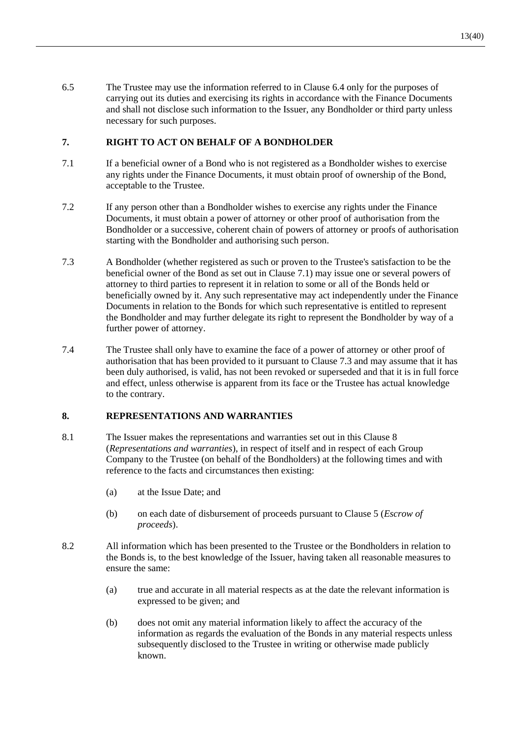6.5 The Trustee may use the information referred to in Clause [6.4](#page-13-1) only for the purposes of carrying out its duties and exercising its rights in accordance with the Finance Documents and shall not disclose such information to the Issuer, any Bondholder or third party unless necessary for such purposes.

# <span id="page-14-3"></span>**7. RIGHT TO ACT ON BEHALF OF A BONDHOLDER**

- <span id="page-14-0"></span>7.1 If a beneficial owner of a Bond who is not registered as a Bondholder wishes to exercise any rights under the Finance Documents, it must obtain proof of ownership of the Bond, acceptable to the Trustee.
- 7.2 If any person other than a Bondholder wishes to exercise any rights under the Finance Documents, it must obtain a power of attorney or other proof of authorisation from the Bondholder or a successive, coherent chain of powers of attorney or proofs of authorisation starting with the Bondholder and authorising such person.
- <span id="page-14-1"></span>7.3 A Bondholder (whether registered as such or proven to the Trustee's satisfaction to be the beneficial owner of the Bond as set out in Clause [7.1\)](#page-14-0) may issue one or several powers of attorney to third parties to represent it in relation to some or all of the Bonds held or beneficially owned by it. Any such representative may act independently under the Finance Documents in relation to the Bonds for which such representative is entitled to represent the Bondholder and may further delegate its right to represent the Bondholder by way of a further power of attorney.
- 7.4 The Trustee shall only have to examine the face of a power of attorney or other proof of authorisation that has been provided to it pursuant to Clause [7.3](#page-14-1) and may assume that it has been duly authorised, is valid, has not been revoked or superseded and that it is in full force and effect, unless otherwise is apparent from its face or the Trustee has actual knowledge to the contrary.

# <span id="page-14-2"></span>**8. REPRESENTATIONS AND WARRANTIES**

- 8.1 The Issuer makes the representations and warranties set out in this Clause [8](#page-14-2) (*Representations and warranties*), in respect of itself and in respect of each Group Company to the Trustee (on behalf of the Bondholders) at the following times and with reference to the facts and circumstances then existing:
	- (a) at the Issue Date; and
	- (b) on each date of disbursement of proceeds pursuant to Clause [5](#page-12-3) (*Escrow of proceeds*).
- 8.2 All information which has been presented to the Trustee or the Bondholders in relation to the Bonds is, to the best knowledge of the Issuer, having taken all reasonable measures to ensure the same:
	- (a) true and accurate in all material respects as at the date the relevant information is expressed to be given; and
	- (b) does not omit any material information likely to affect the accuracy of the information as regards the evaluation of the Bonds in any material respects unless subsequently disclosed to the Trustee in writing or otherwise made publicly known.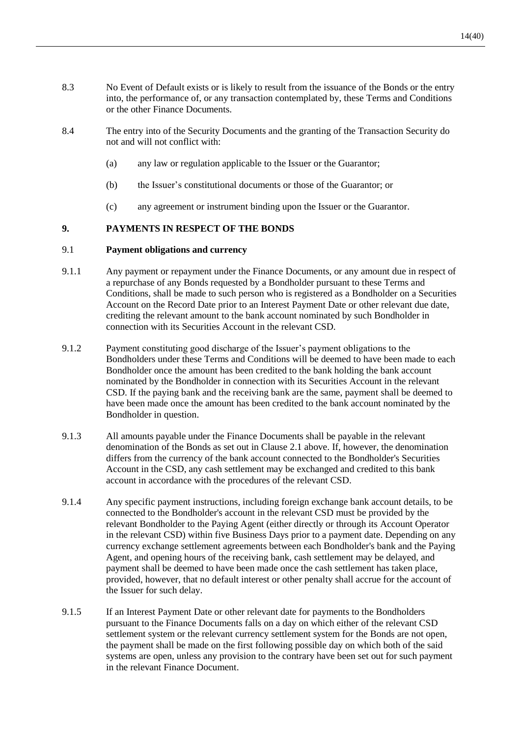- 8.3 No Event of Default exists or is likely to result from the issuance of the Bonds or the entry into, the performance of, or any transaction contemplated by, these Terms and Conditions or the other Finance Documents.
- 8.4 The entry into of the Security Documents and the granting of the Transaction Security do not and will not conflict with:
	- (a) any law or regulation applicable to the Issuer or the Guarantor;
	- (b) the Issuer's constitutional documents or those of the Guarantor; or
	- (c) any agreement or instrument binding upon the Issuer or the Guarantor.

#### **9. PAYMENTS IN RESPECT OF THE BONDS**

#### <span id="page-15-0"></span>9.1 **Payment obligations and currency**

- 9.1.1 Any payment or repayment under the Finance Documents, or any amount due in respect of a repurchase of any Bonds requested by a Bondholder pursuant to these Terms and Conditions, shall be made to such person who is registered as a Bondholder on a Securities Account on the Record Date prior to an Interest Payment Date or other relevant due date, crediting the relevant amount to the bank account nominated by such Bondholder in connection with its Securities Account in the relevant CSD.
- 9.1.2 Payment constituting good discharge of the Issuer's payment obligations to the Bondholders under these Terms and Conditions will be deemed to have been made to each Bondholder once the amount has been credited to the bank holding the bank account nominated by the Bondholder in connection with its Securities Account in the relevant CSD. If the paying bank and the receiving bank are the same, payment shall be deemed to have been made once the amount has been credited to the bank account nominated by the Bondholder in question.
- 9.1.3 All amounts payable under the Finance Documents shall be payable in the relevant denomination of the Bonds as set out in Clause [2.1](#page-11-1) above. If, however, the denomination differs from the currency of the bank account connected to the Bondholder's Securities Account in the CSD, any cash settlement may be exchanged and credited to this bank account in accordance with the procedures of the relevant CSD.
- 9.1.4 Any specific payment instructions, including foreign exchange bank account details, to be connected to the Bondholder's account in the relevant CSD must be provided by the relevant Bondholder to the Paying Agent (either directly or through its Account Operator in the relevant CSD) within five Business Days prior to a payment date. Depending on any currency exchange settlement agreements between each Bondholder's bank and the Paying Agent, and opening hours of the receiving bank, cash settlement may be delayed, and payment shall be deemed to have been made once the cash settlement has taken place, provided, however, that no default interest or other penalty shall accrue for the account of the Issuer for such delay.
- 9.1.5 If an Interest Payment Date or other relevant date for payments to the Bondholders pursuant to the Finance Documents falls on a day on which either of the relevant CSD settlement system or the relevant currency settlement system for the Bonds are not open, the payment shall be made on the first following possible day on which both of the said systems are open, unless any provision to the contrary have been set out for such payment in the relevant Finance Document.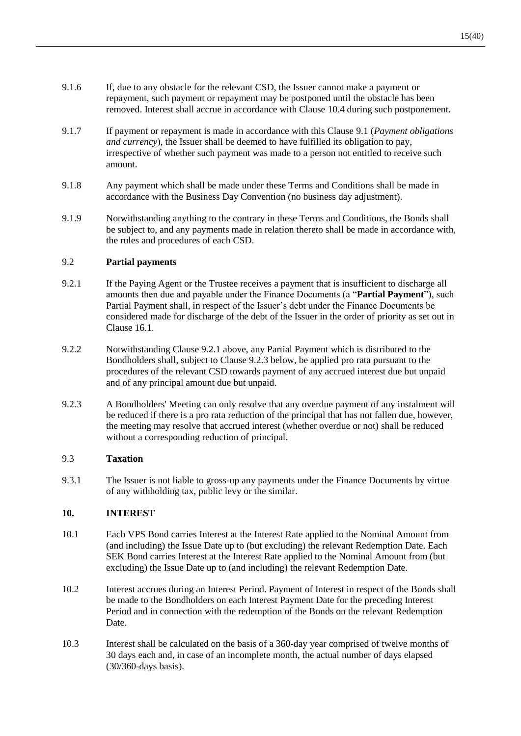- 9.1.6 If, due to any obstacle for the relevant CSD, the Issuer cannot make a payment or repayment, such payment or repayment may be postponed until the obstacle has been removed. Interest shall accrue in accordance with Clause [10.4](#page-17-3) during such postponement.
- 9.1.7 If payment or repayment is made in accordance with this Clause [9.1](#page-15-0) (*Payment obligations and currency*), the Issuer shall be deemed to have fulfilled its obligation to pay, irrespective of whether such payment was made to a person not entitled to receive such amount.
- 9.1.8 Any payment which shall be made under these Terms and Conditions shall be made in accordance with the Business Day Convention (no business day adjustment).
- 9.1.9 Notwithstanding anything to the contrary in these Terms and Conditions, the Bonds shall be subject to, and any payments made in relation thereto shall be made in accordance with, the rules and procedures of each CSD.

# 9.2 **Partial payments**

- <span id="page-16-2"></span>9.2.1 If the Paying Agent or the Trustee receives a payment that is insufficient to discharge all amounts then due and payable under the Finance Documents (a "**Partial Payment**"), such Partial Payment shall, in respect of the Issuer's debt under the Finance Documents be considered made for discharge of the debt of the Issuer in the order of priority as set out in Clause [16.1.](#page-26-0)
- 9.2.2 Notwithstanding Clause [9.2.1](#page-16-2) above, any Partial Payment which is distributed to the Bondholders shall, subject to Clause [9.2.3](#page-16-3) below, be applied pro rata pursuant to the procedures of the relevant CSD towards payment of any accrued interest due but unpaid and of any principal amount due but unpaid.
- <span id="page-16-3"></span>9.2.3 A Bondholders' Meeting can only resolve that any overdue payment of any instalment will be reduced if there is a pro rata reduction of the principal that has not fallen due, however, the meeting may resolve that accrued interest (whether overdue or not) shall be reduced without a corresponding reduction of principal.

# 9.3 **Taxation**

9.3.1 The Issuer is not liable to gross-up any payments under the Finance Documents by virtue of any withholding tax, public levy or the similar.

# **10. INTEREST**

- <span id="page-16-0"></span>10.1 Each VPS Bond carries Interest at the Interest Rate applied to the Nominal Amount from (and including) the Issue Date up to (but excluding) the relevant Redemption Date. Each SEK Bond carries Interest at the Interest Rate applied to the Nominal Amount from (but excluding) the Issue Date up to (and including) the relevant Redemption Date.
- 10.2 Interest accrues during an Interest Period. Payment of Interest in respect of the Bonds shall be made to the Bondholders on each Interest Payment Date for the preceding Interest Period and in connection with the redemption of the Bonds on the relevant Redemption Date.
- <span id="page-16-1"></span>10.3 Interest shall be calculated on the basis of a 360-day year comprised of twelve months of 30 days each and, in case of an incomplete month, the actual number of days elapsed (30/360-days basis).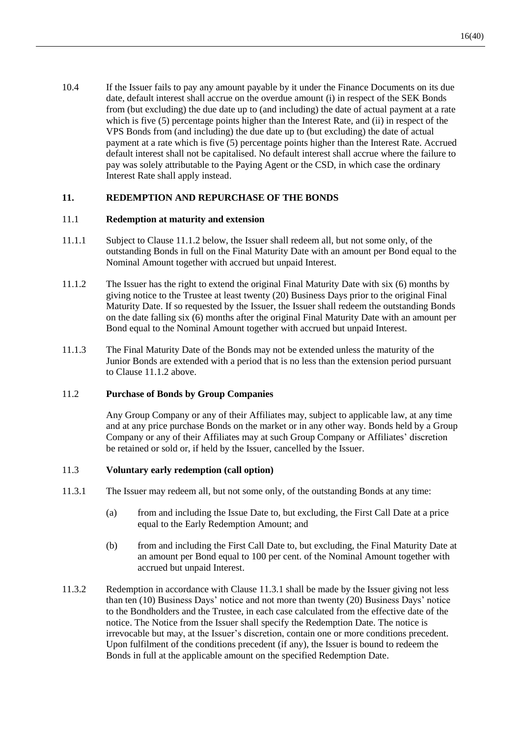<span id="page-17-3"></span>10.4 If the Issuer fails to pay any amount payable by it under the Finance Documents on its due date, default interest shall accrue on the overdue amount (i) in respect of the SEK Bonds from (but excluding) the due date up to (and including) the date of actual payment at a rate which is five (5) percentage points higher than the Interest Rate, and (ii) in respect of the VPS Bonds from (and including) the due date up to (but excluding) the date of actual payment at a rate which is five (5) percentage points higher than the Interest Rate. Accrued default interest shall not be capitalised. No default interest shall accrue where the failure to pay was solely attributable to the Paying Agent or the CSD, in which case the ordinary Interest Rate shall apply instead.

# <span id="page-17-1"></span>**11. REDEMPTION AND REPURCHASE OF THE BONDS**

#### 11.1 **Redemption at maturity and extension**

- 11.1.1 Subject to Clause [11.1.2](#page-17-0) below, the Issuer shall redeem all, but not some only, of the outstanding Bonds in full on the Final Maturity Date with an amount per Bond equal to the Nominal Amount together with accrued but unpaid Interest.
- <span id="page-17-0"></span>11.1.2 The Issuer has the right to extend the original Final Maturity Date with six (6) months by giving notice to the Trustee at least twenty (20) Business Days prior to the original Final Maturity Date. If so requested by the Issuer, the Issuer shall redeem the outstanding Bonds on the date falling six (6) months after the original Final Maturity Date with an amount per Bond equal to the Nominal Amount together with accrued but unpaid Interest.
- 11.1.3 The Final Maturity Date of the Bonds may not be extended unless the maturity of the Junior Bonds are extended with a period that is no less than the extension period pursuant to Clause [11.1.2](#page-17-0) above.

## 11.2 **Purchase of Bonds by Group Companies**

Any Group Company or any of their Affiliates may, subject to applicable law, at any time and at any price purchase Bonds on the market or in any other way. Bonds held by a Group Company or any of their Affiliates may at such Group Company or Affiliates' discretion be retained or sold or, if held by the Issuer, cancelled by the Issuer.

#### <span id="page-17-4"></span>11.3 **Voluntary early redemption (call option)**

- <span id="page-17-2"></span>11.3.1 The Issuer may redeem all, but not some only, of the outstanding Bonds at any time:
	- (a) from and including the Issue Date to, but excluding, the First Call Date at a price equal to the Early Redemption Amount; and
	- (b) from and including the First Call Date to, but excluding, the Final Maturity Date at an amount per Bond equal to 100 per cent. of the Nominal Amount together with accrued but unpaid Interest.
- 11.3.2 Redemption in accordance with Clause [11.3.1](#page-17-2) shall be made by the Issuer giving not less than ten (10) Business Days' notice and not more than twenty (20) Business Days' notice to the Bondholders and the Trustee, in each case calculated from the effective date of the notice. The Notice from the Issuer shall specify the Redemption Date. The notice is irrevocable but may, at the Issuer's discretion, contain one or more conditions precedent. Upon fulfilment of the conditions precedent (if any), the Issuer is bound to redeem the Bonds in full at the applicable amount on the specified Redemption Date.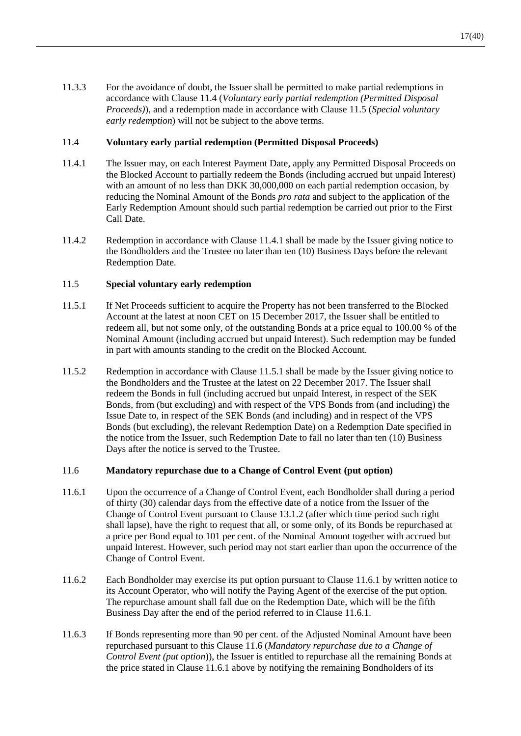11.3.3 For the avoidance of doubt, the Issuer shall be permitted to make partial redemptions in accordance with Clause [11.4](#page-18-0) (*Voluntary early partial redemption (Permitted Disposal Proceeds)*), and a redemption made in accordance with Clause [11.5](#page-18-1) (*Special voluntary early redemption*) will not be subject to the above terms.

# <span id="page-18-0"></span>11.4 **Voluntary early partial redemption (Permitted Disposal Proceeds)**

- <span id="page-18-2"></span>11.4.1 The Issuer may, on each Interest Payment Date, apply any Permitted Disposal Proceeds on the Blocked Account to partially redeem the Bonds (including accrued but unpaid Interest) with an amount of no less than DKK 30,000,000 on each partial redemption occasion, by reducing the Nominal Amount of the Bonds *pro rata* and subject to the application of the Early Redemption Amount should such partial redemption be carried out prior to the First Call Date.
- 11.4.2 Redemption in accordance with Clause [11.4.1](#page-18-2) shall be made by the Issuer giving notice to the Bondholders and the Trustee no later than ten (10) Business Days before the relevant Redemption Date.

# <span id="page-18-1"></span>11.5 **Special voluntary early redemption**

- <span id="page-18-3"></span>11.5.1 If Net Proceeds sufficient to acquire the Property has not been transferred to the Blocked Account at the latest at noon CET on 15 December 2017, the Issuer shall be entitled to redeem all, but not some only, of the outstanding Bonds at a price equal to 100.00 % of the Nominal Amount (including accrued but unpaid Interest). Such redemption may be funded in part with amounts standing to the credit on the Blocked Account.
- 11.5.2 Redemption in accordance with Clause [11.5.1](#page-18-3) shall be made by the Issuer giving notice to the Bondholders and the Trustee at the latest on 22 December 2017. The Issuer shall redeem the Bonds in full (including accrued but unpaid Interest, in respect of the SEK Bonds, from (but excluding) and with respect of the VPS Bonds from (and including) the Issue Date to, in respect of the SEK Bonds (and including) and in respect of the VPS Bonds (but excluding), the relevant Redemption Date) on a Redemption Date specified in the notice from the Issuer, such Redemption Date to fall no later than ten (10) Business Days after the notice is served to the Trustee.

#### <span id="page-18-5"></span>11.6 **Mandatory repurchase due to a Change of Control Event (put option)**

- <span id="page-18-4"></span>11.6.1 Upon the occurrence of a Change of Control Event, each Bondholder shall during a period of thirty (30) calendar days from the effective date of a notice from the Issuer of the Change of Control Event pursuant to Clause [13.1.2](#page-20-0) (after which time period such right shall lapse), have the right to request that all, or some only, of its Bonds be repurchased at a price per Bond equal to 101 per cent. of the Nominal Amount together with accrued but unpaid Interest. However, such period may not start earlier than upon the occurrence of the Change of Control Event.
- 11.6.2 Each Bondholder may exercise its put option pursuant to Clause [11.6.1](#page-18-4) by written notice to its Account Operator, who will notify the Paying Agent of the exercise of the put option. The repurchase amount shall fall due on the Redemption Date, which will be the fifth Business Day after the end of the period referred to in Clause [11.6.1.](#page-18-4)
- 11.6.3 If Bonds representing more than 90 per cent. of the Adjusted Nominal Amount have been repurchased pursuant to this Clause [11.6](#page-18-5) (*Mandatory repurchase due to a Change of Control Event (put option*)), the Issuer is entitled to repurchase all the remaining Bonds at the price stated in Claus[e 11.6.1](#page-18-4) above by notifying the remaining Bondholders of its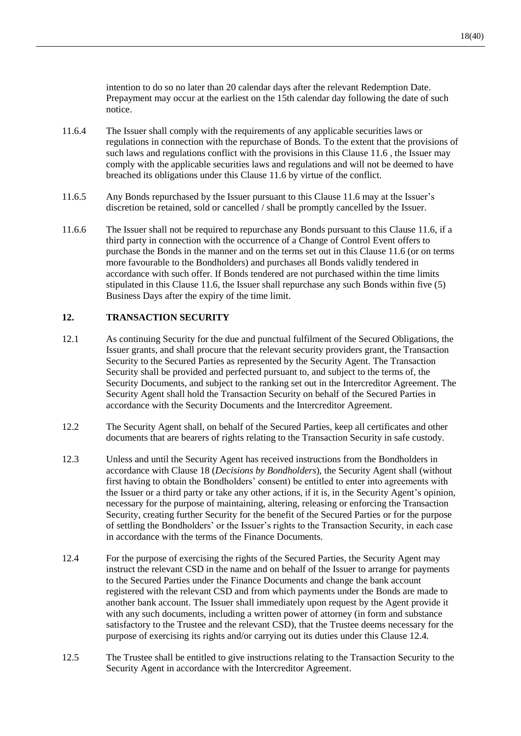intention to do so no later than 20 calendar days after the relevant Redemption Date. Prepayment may occur at the earliest on the 15th calendar day following the date of such notice.

- 11.6.4 The Issuer shall comply with the requirements of any applicable securities laws or regulations in connection with the repurchase of Bonds. To the extent that the provisions of such laws and regulations conflict with the provisions in this Clause [11.6](#page-18-5) , the Issuer may comply with the applicable securities laws and regulations and will not be deemed to have breached its obligations under this Clause [11.6](#page-18-5) by virtue of the conflict.
- 11.6.5 Any Bonds repurchased by the Issuer pursuant to this Clause [11.6](#page-18-5) may at the Issuer's discretion be retained, sold or cancelled / shall be promptly cancelled by the Issuer.
- 11.6.6 The Issuer shall not be required to repurchase any Bonds pursuant to this Clause [11.6,](#page-18-5) if a third party in connection with the occurrence of a Change of Control Event offers to purchase the Bonds in the manner and on the terms set out in this Clause [11.6](#page-18-5) (or on terms more favourable to the Bondholders) and purchases all Bonds validly tendered in accordance with such offer. If Bonds tendered are not purchased within the time limits stipulated in this Clause [11.6,](#page-18-5) the Issuer shall repurchase any such Bonds within five (5) Business Days after the expiry of the time limit.

# **12. TRANSACTION SECURITY**

- 12.1 As continuing Security for the due and punctual fulfilment of the Secured Obligations, the Issuer grants, and shall procure that the relevant security providers grant, the Transaction Security to the Secured Parties as represented by the Security Agent. The Transaction Security shall be provided and perfected pursuant to, and subject to the terms of, the Security Documents, and subject to the ranking set out in the Intercreditor Agreement. The Security Agent shall hold the Transaction Security on behalf of the Secured Parties in accordance with the Security Documents and the Intercreditor Agreement.
- 12.2 The Security Agent shall, on behalf of the Secured Parties, keep all certificates and other documents that are bearers of rights relating to the Transaction Security in safe custody.
- 12.3 Unless and until the Security Agent has received instructions from the Bondholders in accordance with Clause [18](#page-28-0) (*Decisions by Bondholders*), the Security Agent shall (without first having to obtain the Bondholders' consent) be entitled to enter into agreements with the Issuer or a third party or take any other actions, if it is, in the Security Agent's opinion, necessary for the purpose of maintaining, altering, releasing or enforcing the Transaction Security, creating further Security for the benefit of the Secured Parties or for the purpose of settling the Bondholders' or the Issuer's rights to the Transaction Security, in each case in accordance with the terms of the Finance Documents.
- <span id="page-19-0"></span>12.4 For the purpose of exercising the rights of the Secured Parties, the Security Agent may instruct the relevant CSD in the name and on behalf of the Issuer to arrange for payments to the Secured Parties under the Finance Documents and change the bank account registered with the relevant CSD and from which payments under the Bonds are made to another bank account. The Issuer shall immediately upon request by the Agent provide it with any such documents, including a written power of attorney (in form and substance satisfactory to the Trustee and the relevant CSD), that the Trustee deems necessary for the purpose of exercising its rights and/or carrying out its duties under this Clause [12.4.](#page-19-0)
- 12.5 The Trustee shall be entitled to give instructions relating to the Transaction Security to the Security Agent in accordance with the Intercreditor Agreement.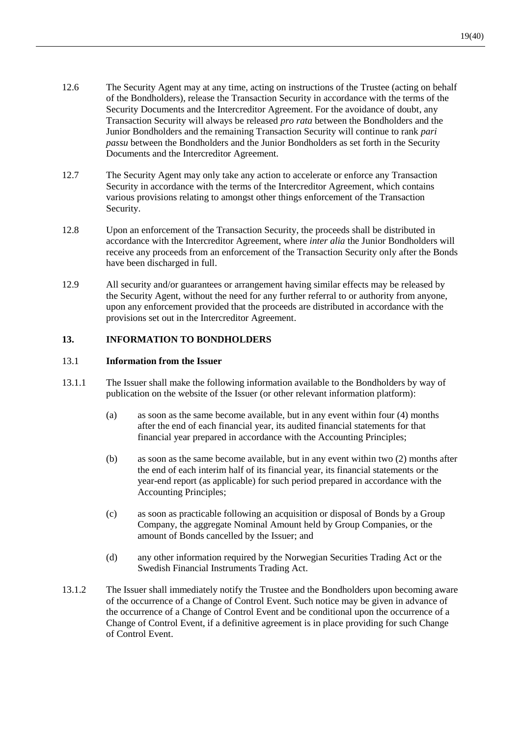- 12.6 The Security Agent may at any time, acting on instructions of the Trustee (acting on behalf of the Bondholders), release the Transaction Security in accordance with the terms of the Security Documents and the Intercreditor Agreement. For the avoidance of doubt, any Transaction Security will always be released *pro rata* between the Bondholders and the Junior Bondholders and the remaining Transaction Security will continue to rank *pari passu* between the Bondholders and the Junior Bondholders as set forth in the Security Documents and the Intercreditor Agreement.
- 12.7 The Security Agent may only take any action to accelerate or enforce any Transaction Security in accordance with the terms of the Intercreditor Agreement, which contains various provisions relating to amongst other things enforcement of the Transaction Security.
- 12.8 Upon an enforcement of the Transaction Security, the proceeds shall be distributed in accordance with the Intercreditor Agreement, where *inter alia* the Junior Bondholders will receive any proceeds from an enforcement of the Transaction Security only after the Bonds have been discharged in full.
- 12.9 All security and/or guarantees or arrangement having similar effects may be released by the Security Agent, without the need for any further referral to or authority from anyone, upon any enforcement provided that the proceeds are distributed in accordance with the provisions set out in the Intercreditor Agreement.

# **13. INFORMATION TO BONDHOLDERS**

#### 13.1 **Information from the Issuer**

- <span id="page-20-1"></span>13.1.1 The Issuer shall make the following information available to the Bondholders by way of publication on the website of the Issuer (or other relevant information platform):
	- (a) as soon as the same become available, but in any event within four (4) months after the end of each financial year, its audited financial statements for that financial year prepared in accordance with the Accounting Principles;
	- (b) as soon as the same become available, but in any event within two (2) months after the end of each interim half of its financial year, its financial statements or the year-end report (as applicable) for such period prepared in accordance with the Accounting Principles;
	- (c) as soon as practicable following an acquisition or disposal of Bonds by a Group Company, the aggregate Nominal Amount held by Group Companies, or the amount of Bonds cancelled by the Issuer; and
	- (d) any other information required by the Norwegian Securities Trading Act or the Swedish Financial Instruments Trading Act.
- <span id="page-20-0"></span>13.1.2 The Issuer shall immediately notify the Trustee and the Bondholders upon becoming aware of the occurrence of a Change of Control Event. Such notice may be given in advance of the occurrence of a Change of Control Event and be conditional upon the occurrence of a Change of Control Event, if a definitive agreement is in place providing for such Change of Control Event.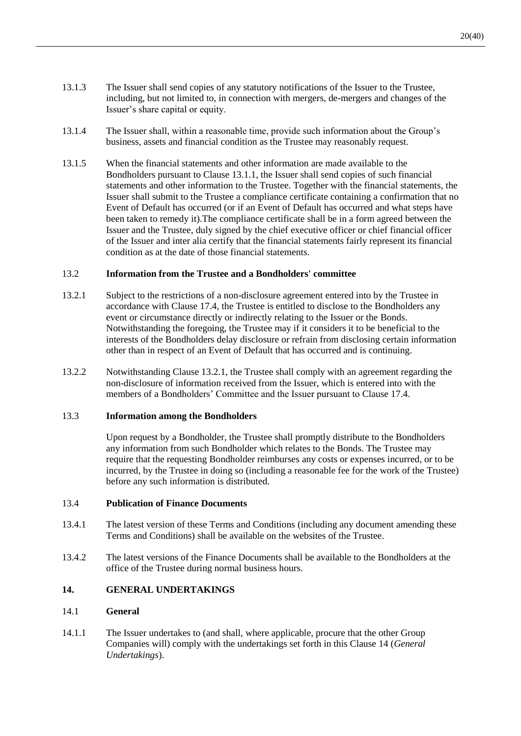- 13.1.3 The Issuer shall send copies of any statutory notifications of the Issuer to the Trustee, including, but not limited to, in connection with mergers, de-mergers and changes of the Issuer's share capital or equity.
- 13.1.4 The Issuer shall, within a reasonable time, provide such information about the Group's business, assets and financial condition as the Trustee may reasonably request.
- 13.1.5 When the financial statements and other information are made available to the Bondholders pursuant to Clause [13.1.1,](#page-20-1) the Issuer shall send copies of such financial statements and other information to the Trustee. Together with the financial statements, the Issuer shall submit to the Trustee a compliance certificate containing a confirmation that no Event of Default has occurred (or if an Event of Default has occurred and what steps have been taken to remedy it).The compliance certificate shall be in a form agreed between the Issuer and the Trustee, duly signed by the chief executive officer or chief financial officer of the Issuer and inter alia certify that the financial statements fairly represent its financial condition as at the date of those financial statements.

#### 13.2 **Information from the Trustee and a Bondholders' committee**

- <span id="page-21-0"></span>13.2.1 Subject to the restrictions of a non-disclosure agreement entered into by the Trustee in accordance with Clause [17.4,](#page-28-1) the Trustee is entitled to disclose to the Bondholders any event or circumstance directly or indirectly relating to the Issuer or the Bonds. Notwithstanding the foregoing, the Trustee may if it considers it to be beneficial to the interests of the Bondholders delay disclosure or refrain from disclosing certain information other than in respect of an Event of Default that has occurred and is continuing.
- 13.2.2 Notwithstanding Clause [13.2.1,](#page-21-0) the Trustee shall comply with an agreement regarding the non-disclosure of information received from the Issuer, which is entered into with the members of a Bondholders' Committee and the Issuer pursuant to Clause [17.4.](#page-28-1)

#### 13.3 **Information among the Bondholders**

Upon request by a Bondholder, the Trustee shall promptly distribute to the Bondholders any information from such Bondholder which relates to the Bonds. The Trustee may require that the requesting Bondholder reimburses any costs or expenses incurred, or to be incurred, by the Trustee in doing so (including a reasonable fee for the work of the Trustee) before any such information is distributed.

#### <span id="page-21-2"></span>13.4 **Publication of Finance Documents**

- 13.4.1 The latest version of these Terms and Conditions (including any document amending these Terms and Conditions) shall be available on the websites of the Trustee.
- 13.4.2 The latest versions of the Finance Documents shall be available to the Bondholders at the office of the Trustee during normal business hours.

# <span id="page-21-1"></span>**14. GENERAL UNDERTAKINGS**

#### 14.1 **General**

14.1.1 The Issuer undertakes to (and shall, where applicable, procure that the other Group Companies will) comply with the undertakings set forth in this Clause [14](#page-21-1) (*General Undertakings*).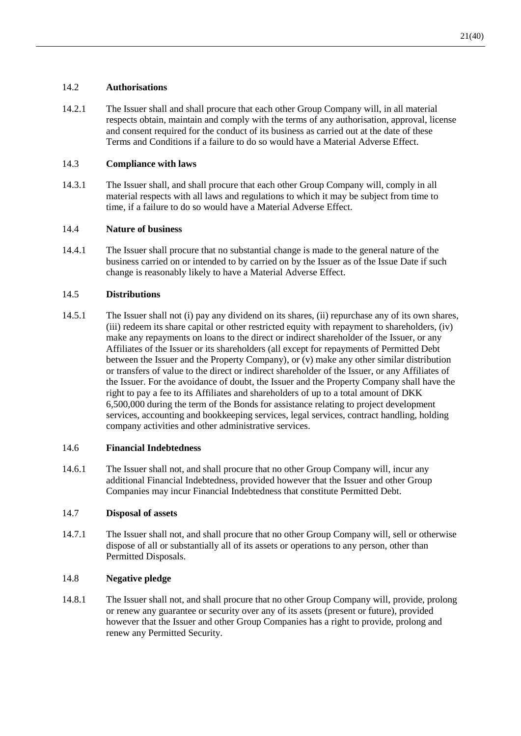# 14.2 **Authorisations**

14.2.1 The Issuer shall and shall procure that each other Group Company will, in all material respects obtain, maintain and comply with the terms of any authorisation, approval, license and consent required for the conduct of its business as carried out at the date of these Terms and Conditions if a failure to do so would have a Material Adverse Effect.

## 14.3 **Compliance with laws**

14.3.1 The Issuer shall, and shall procure that each other Group Company will, comply in all material respects with all laws and regulations to which it may be subject from time to time, if a failure to do so would have a Material Adverse Effect.

# 14.4 **Nature of business**

14.4.1 The Issuer shall procure that no substantial change is made to the general nature of the business carried on or intended to by carried on by the Issuer as of the Issue Date if such change is reasonably likely to have a Material Adverse Effect.

# 14.5 **Distributions**

14.5.1 The Issuer shall not (i) pay any dividend on its shares, (ii) repurchase any of its own shares, (iii) redeem its share capital or other restricted equity with repayment to shareholders, (iv) make any repayments on loans to the direct or indirect shareholder of the Issuer, or any Affiliates of the Issuer or its shareholders (all except for repayments of Permitted Debt between the Issuer and the Property Company), or (v) make any other similar distribution or transfers of value to the direct or indirect shareholder of the Issuer, or any Affiliates of the Issuer. For the avoidance of doubt, the Issuer and the Property Company shall have the right to pay a fee to its Affiliates and shareholders of up to a total amount of DKK 6,500,000 during the term of the Bonds for assistance relating to project development services, accounting and bookkeeping services, legal services, contract handling, holding company activities and other administrative services.

#### 14.6 **Financial Indebtedness**

14.6.1 The Issuer shall not, and shall procure that no other Group Company will, incur any additional Financial Indebtedness, provided however that the Issuer and other Group Companies may incur Financial Indebtedness that constitute Permitted Debt.

#### 14.7 **Disposal of assets**

14.7.1 The Issuer shall not, and shall procure that no other Group Company will, sell or otherwise dispose of all or substantially all of its assets or operations to any person, other than Permitted Disposals.

# 14.8 **Negative pledge**

14.8.1 The Issuer shall not, and shall procure that no other Group Company will, provide, prolong or renew any guarantee or security over any of its assets (present or future), provided however that the Issuer and other Group Companies has a right to provide, prolong and renew any Permitted Security.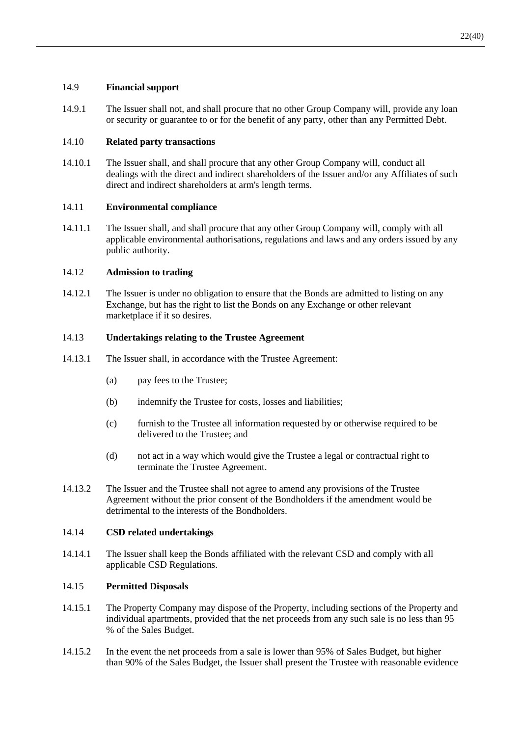# 14.9 **Financial support**

14.9.1 The Issuer shall not, and shall procure that no other Group Company will, provide any loan or security or guarantee to or for the benefit of any party, other than any Permitted Debt.

# 14.10 **Related party transactions**

14.10.1 The Issuer shall, and shall procure that any other Group Company will, conduct all dealings with the direct and indirect shareholders of the Issuer and/or any Affiliates of such direct and indirect shareholders at arm's length terms.

# 14.11 **Environmental compliance**

14.11.1 The Issuer shall, and shall procure that any other Group Company will, comply with all applicable environmental authorisations, regulations and laws and any orders issued by any public authority.

# 14.12 **Admission to trading**

14.12.1 The Issuer is under no obligation to ensure that the Bonds are admitted to listing on any Exchange, but has the right to list the Bonds on any Exchange or other relevant marketplace if it so desires.

# 14.13 **Undertakings relating to the Trustee Agreement**

- 14.13.1 The Issuer shall, in accordance with the Trustee Agreement:
	- (a) pay fees to the Trustee;
	- (b) indemnify the Trustee for costs, losses and liabilities;
	- (c) furnish to the Trustee all information requested by or otherwise required to be delivered to the Trustee; and
	- (d) not act in a way which would give the Trustee a legal or contractual right to terminate the Trustee Agreement.
- 14.13.2 The Issuer and the Trustee shall not agree to amend any provisions of the Trustee Agreement without the prior consent of the Bondholders if the amendment would be detrimental to the interests of the Bondholders.

#### 14.14 **CSD related undertakings**

14.14.1 The Issuer shall keep the Bonds affiliated with the relevant CSD and comply with all applicable CSD Regulations.

#### <span id="page-23-0"></span>14.15 **Permitted Disposals**

- 14.15.1 The Property Company may dispose of the Property, including sections of the Property and individual apartments, provided that the net proceeds from any such sale is no less than 95 % of the Sales Budget.
- 14.15.2 In the event the net proceeds from a sale is lower than 95% of Sales Budget, but higher than 90% of the Sales Budget, the Issuer shall present the Trustee with reasonable evidence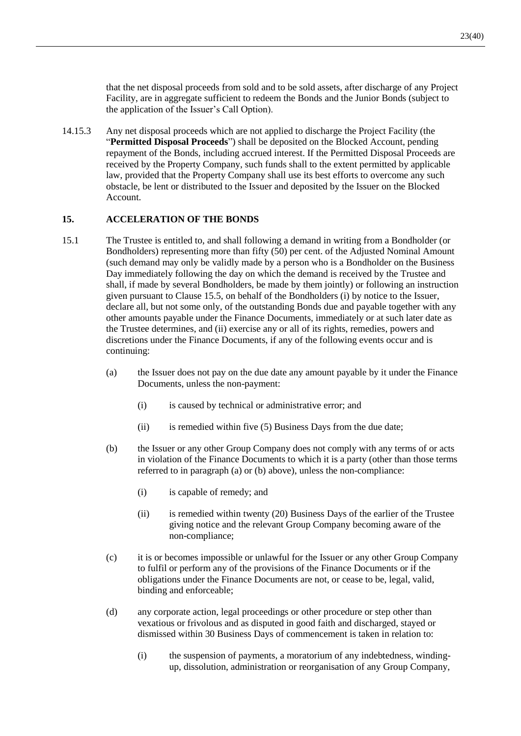that the net disposal proceeds from sold and to be sold assets, after discharge of any Project Facility, are in aggregate sufficient to redeem the Bonds and the Junior Bonds (subject to the application of the Issuer's Call Option).

14.15.3 Any net disposal proceeds which are not applied to discharge the Project Facility (the "**Permitted Disposal Proceeds**") shall be deposited on the Blocked Account, pending repayment of the Bonds, including accrued interest. If the Permitted Disposal Proceeds are received by the Property Company, such funds shall to the extent permitted by applicable law, provided that the Property Company shall use its best efforts to overcome any such obstacle, be lent or distributed to the Issuer and deposited by the Issuer on the Blocked Account.

## <span id="page-24-1"></span>**15. ACCELERATION OF THE BONDS**

- <span id="page-24-0"></span>15.1 The Trustee is entitled to, and shall following a demand in writing from a Bondholder (or Bondholders) representing more than fifty (50) per cent. of the Adjusted Nominal Amount (such demand may only be validly made by a person who is a Bondholder on the Business Day immediately following the day on which the demand is received by the Trustee and shall, if made by several Bondholders, be made by them jointly) or following an instruction given pursuant to Clause [15.5,](#page-26-1) on behalf of the Bondholders (i) by notice to the Issuer, declare all, but not some only, of the outstanding Bonds due and payable together with any other amounts payable under the Finance Documents, immediately or at such later date as the Trustee determines, and (ii) exercise any or all of its rights, remedies, powers and discretions under the Finance Documents, if any of the following events occur and is continuing:
	- (a) the Issuer does not pay on the due date any amount payable by it under the Finance Documents, unless the non-payment:
		- (i) is caused by technical or administrative error; and
		- (ii) is remedied within five (5) Business Days from the due date;
	- (b) the Issuer or any other Group Company does not comply with any terms of or acts in violation of the Finance Documents to which it is a party (other than those terms referred to in paragraph (a) or (b) above), unless the non-compliance:
		- (i) is capable of remedy; and
		- (ii) is remedied within twenty (20) Business Days of the earlier of the Trustee giving notice and the relevant Group Company becoming aware of the non-compliance;
	- (c) it is or becomes impossible or unlawful for the Issuer or any other Group Company to fulfil or perform any of the provisions of the Finance Documents or if the obligations under the Finance Documents are not, or cease to be, legal, valid, binding and enforceable;
	- (d) any corporate action, legal proceedings or other procedure or step other than vexatious or frivolous and as disputed in good faith and discharged, stayed or dismissed within 30 Business Days of commencement is taken in relation to:
		- (i) the suspension of payments, a moratorium of any indebtedness, windingup, dissolution, administration or reorganisation of any Group Company,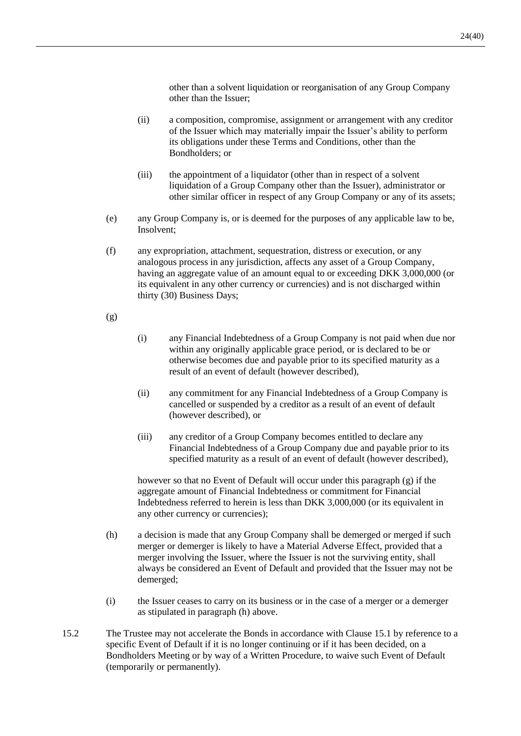other than a solvent liquidation or reorganisation of any Group Company other than the Issuer;

- (ii) a composition, compromise, assignment or arrangement with any creditor of the Issuer which may materially impair the Issuer's ability to perform its obligations under these Terms and Conditions, other than the Bondholders; or
- (iii) the appointment of a liquidator (other than in respect of a solvent liquidation of a Group Company other than the Issuer), administrator or other similar officer in respect of any Group Company or any of its assets;
- (e) any Group Company is, or is deemed for the purposes of any applicable law to be, Insolvent;
- (f) any expropriation, attachment, sequestration, distress or execution, or any analogous process in any jurisdiction, affects any asset of a Group Company, having an aggregate value of an amount equal to or exceeding DKK 3,000,000 (or its equivalent in any other currency or currencies) and is not discharged within thirty (30) Business Days;

<span id="page-25-0"></span>(g)

- (i) any Financial Indebtedness of a Group Company is not paid when due nor within any originally applicable grace period, or is declared to be or otherwise becomes due and payable prior to its specified maturity as a result of an event of default (however described),
- (ii) any commitment for any Financial Indebtedness of a Group Company is cancelled or suspended by a creditor as a result of an event of default (however described), or
- (iii) any creditor of a Group Company becomes entitled to declare any Financial Indebtedness of a Group Company due and payable prior to its specified maturity as a result of an event of default (however described),

however so that no Event of Default will occur under this paragraph [\(g\)](#page-25-0) if the aggregate amount of Financial Indebtedness or commitment for Financial Indebtedness referred to herein is less than DKK 3,000,000 (or its equivalent in any other currency or currencies);

- <span id="page-25-1"></span>(h) a decision is made that any Group Company shall be demerged or merged if such merger or demerger is likely to have a Material Adverse Effect, provided that a merger involving the Issuer, where the Issuer is not the surviving entity, shall always be considered an Event of Default and provided that the Issuer may not be demerged;
- (i) the Issuer ceases to carry on its business or in the case of a merger or a demerger as stipulated in paragraph [\(h\)](#page-25-1) above.
- 15.2 The Trustee may not accelerate the Bonds in accordance with Clause [15.1](#page-24-0) by reference to a specific Event of Default if it is no longer continuing or if it has been decided, on a Bondholders Meeting or by way of a Written Procedure, to waive such Event of Default (temporarily or permanently).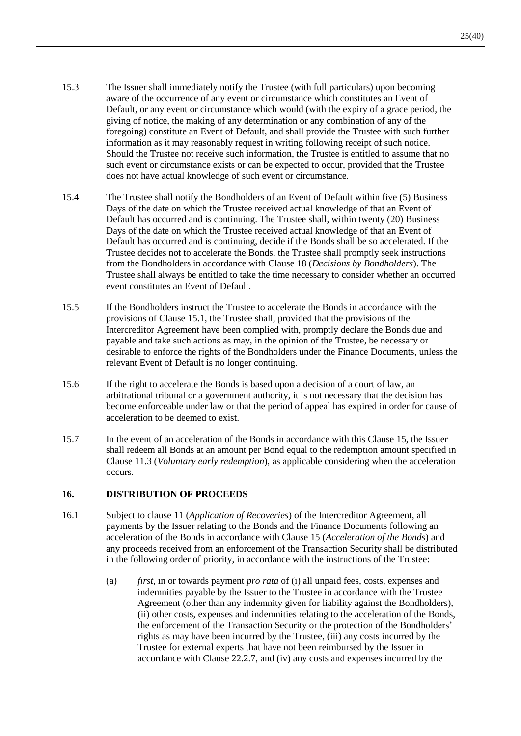- 15.3 The Issuer shall immediately notify the Trustee (with full particulars) upon becoming aware of the occurrence of any event or circumstance which constitutes an Event of Default, or any event or circumstance which would (with the expiry of a grace period, the giving of notice, the making of any determination or any combination of any of the foregoing) constitute an Event of Default, and shall provide the Trustee with such further information as it may reasonably request in writing following receipt of such notice. Should the Trustee not receive such information, the Trustee is entitled to assume that no such event or circumstance exists or can be expected to occur, provided that the Trustee does not have actual knowledge of such event or circumstance.
- 15.4 The Trustee shall notify the Bondholders of an Event of Default within five (5) Business Days of the date on which the Trustee received actual knowledge of that an Event of Default has occurred and is continuing. The Trustee shall, within twenty (20) Business Days of the date on which the Trustee received actual knowledge of that an Event of Default has occurred and is continuing, decide if the Bonds shall be so accelerated. If the Trustee decides not to accelerate the Bonds, the Trustee shall promptly seek instructions from the Bondholders in accordance with Clause [18](#page-28-0) (*Decisions by Bondholders*). The Trustee shall always be entitled to take the time necessary to consider whether an occurred event constitutes an Event of Default.
- <span id="page-26-1"></span>15.5 If the Bondholders instruct the Trustee to accelerate the Bonds in accordance with the provisions of Clause [15.1,](#page-24-0) the Trustee shall, provided that the provisions of the Intercreditor Agreement have been complied with, promptly declare the Bonds due and payable and take such actions as may, in the opinion of the Trustee, be necessary or desirable to enforce the rights of the Bondholders under the Finance Documents, unless the relevant Event of Default is no longer continuing.
- 15.6 If the right to accelerate the Bonds is based upon a decision of a court of law, an arbitrational tribunal or a government authority, it is not necessary that the decision has become enforceable under law or that the period of appeal has expired in order for cause of acceleration to be deemed to exist.
- 15.7 In the event of an acceleration of the Bonds in accordance with this Clause [15,](#page-24-1) the Issuer shall redeem all Bonds at an amount per Bond equal to the redemption amount specified in Clause [11.3](#page-17-4) (*Voluntary early redemption*), as applicable considering when the acceleration occurs.

## <span id="page-26-2"></span>**16. DISTRIBUTION OF PROCEEDS**

- <span id="page-26-0"></span>16.1 Subject to clause 11 (*Application of Recoveries*) of the Intercreditor Agreement, all payments by the Issuer relating to the Bonds and the Finance Documents following an acceleration of the Bonds in accordance with Clause [15](#page-24-1) (*Acceleration of the Bonds*) and any proceeds received from an enforcement of the Transaction Security shall be distributed in the following order of priority, in accordance with the instructions of the Trustee:
	- (a) *first*, in or towards payment *pro rata* of (i) all unpaid fees, costs, expenses and indemnities payable by the Issuer to the Trustee in accordance with the Trustee Agreement (other than any indemnity given for liability against the Bondholders), (ii) other costs, expenses and indemnities relating to the acceleration of the Bonds, the enforcement of the Transaction Security or the protection of the Bondholders' rights as may have been incurred by the Trustee, (iii) any costs incurred by the Trustee for external experts that have not been reimbursed by the Issuer in accordance with Clause [22.2.7,](#page-34-0) and (iv) any costs and expenses incurred by the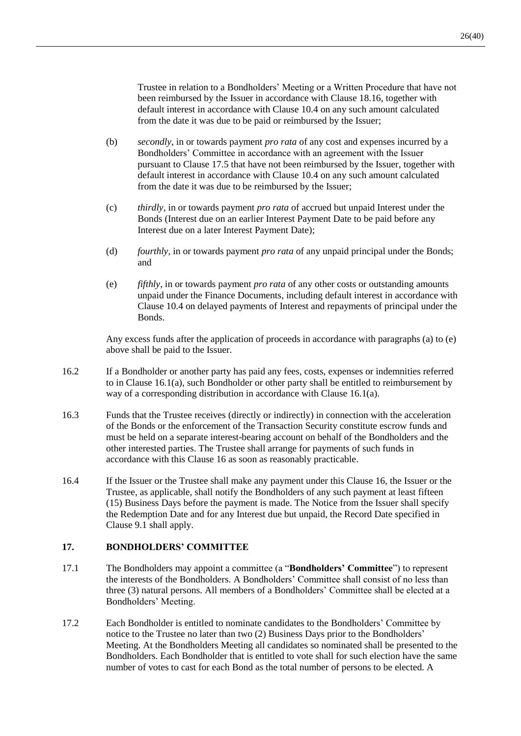Trustee in relation to a Bondholders' Meeting or a Written Procedure that have not been reimbursed by the Issuer in accordance with Clause [18.16,](#page-31-1) together with default interest in accordance with Clause [10.4](#page-17-3) on any such amount calculated from the date it was due to be paid or reimbursed by the Issuer;

- (b) *secondly*, in or towards payment *pro rata* of any cost and expenses incurred by a Bondholders' Committee in accordance with an agreement with the Issuer pursuant to Clause [17.5](#page-28-2) that have not been reimbursed by the Issuer, together with default interest in accordance with Clause [10.4](#page-17-3) on any such amount calculated from the date it was due to be reimbursed by the Issuer;
- (c) *thirdly*, in or towards payment *pro rata* of accrued but unpaid Interest under the Bonds (Interest due on an earlier Interest Payment Date to be paid before any Interest due on a later Interest Payment Date);
- (d) *fourthly*, in or towards payment *pro rata* of any unpaid principal under the Bonds; and
- <span id="page-27-1"></span>(e) *fifthly*, in or towards payment *pro rata* of any other costs or outstanding amounts unpaid under the Finance Documents, including default interest in accordance with Clause [10.4](#page-17-3) on delayed payments of Interest and repayments of principal under the Bonds.

Any excess funds after the application of proceeds in accordance with paragraphs (a) to [\(e\)](#page-27-1) above shall be paid to the Issuer.

- 16.2 If a Bondholder or another party has paid any fees, costs, expenses or indemnities referred to in Clause [16.1\(a\),](#page-26-0) such Bondholder or other party shall be entitled to reimbursement by way of a corresponding distribution in accordance with Clause [16.1\(a\).](#page-26-0)
- 16.3 Funds that the Trustee receives (directly or indirectly) in connection with the acceleration of the Bonds or the enforcement of the Transaction Security constitute escrow funds and must be held on a separate interest-bearing account on behalf of the Bondholders and the other interested parties. The Trustee shall arrange for payments of such funds in accordance with this Clause [16](#page-26-2) as soon as reasonably practicable.
- 16.4 If the Issuer or the Trustee shall make any payment under this Clause [16,](#page-26-2) the Issuer or the Trustee, as applicable, shall notify the Bondholders of any such payment at least fifteen (15) Business Days before the payment is made. The Notice from the Issuer shall specify the Redemption Date and for any Interest due but unpaid, the Record Date specified in Clause [9.1](#page-15-0) shall apply.

# <span id="page-27-0"></span>**17. BONDHOLDERS' COMMITTEE**

- 17.1 The Bondholders may appoint a committee (a "**Bondholders' Committee**") to represent the interests of the Bondholders. A Bondholders' Committee shall consist of no less than three (3) natural persons. All members of a Bondholders' Committee shall be elected at a Bondholders' Meeting.
- 17.2 Each Bondholder is entitled to nominate candidates to the Bondholders' Committee by notice to the Trustee no later than two (2) Business Days prior to the Bondholders' Meeting. At the Bondholders Meeting all candidates so nominated shall be presented to the Bondholders. Each Bondholder that is entitled to vote shall for such election have the same number of votes to cast for each Bond as the total number of persons to be elected. A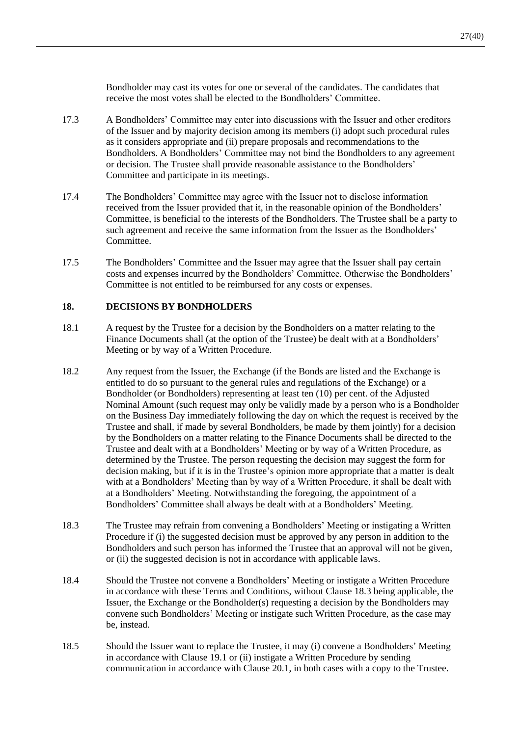Bondholder may cast its votes for one or several of the candidates. The candidates that receive the most votes shall be elected to the Bondholders' Committee.

- 17.3 A Bondholders' Committee may enter into discussions with the Issuer and other creditors of the Issuer and by majority decision among its members (i) adopt such procedural rules as it considers appropriate and (ii) prepare proposals and recommendations to the Bondholders. A Bondholders' Committee may not bind the Bondholders to any agreement or decision. The Trustee shall provide reasonable assistance to the Bondholders' Committee and participate in its meetings.
- <span id="page-28-1"></span>17.4 The Bondholders' Committee may agree with the Issuer not to disclose information received from the Issuer provided that it, in the reasonable opinion of the Bondholders' Committee, is beneficial to the interests of the Bondholders. The Trustee shall be a party to such agreement and receive the same information from the Issuer as the Bondholders' Committee.
- <span id="page-28-2"></span>17.5 The Bondholders' Committee and the Issuer may agree that the Issuer shall pay certain costs and expenses incurred by the Bondholders' Committee. Otherwise the Bondholders' Committee is not entitled to be reimbursed for any costs or expenses.

#### <span id="page-28-0"></span>**18. DECISIONS BY BONDHOLDERS**

- 18.1 A request by the Trustee for a decision by the Bondholders on a matter relating to the Finance Documents shall (at the option of the Trustee) be dealt with at a Bondholders' Meeting or by way of a Written Procedure.
- 18.2 Any request from the Issuer, the Exchange (if the Bonds are listed and the Exchange is entitled to do so pursuant to the general rules and regulations of the Exchange) or a Bondholder (or Bondholders) representing at least ten (10) per cent. of the Adjusted Nominal Amount (such request may only be validly made by a person who is a Bondholder on the Business Day immediately following the day on which the request is received by the Trustee and shall, if made by several Bondholders, be made by them jointly) for a decision by the Bondholders on a matter relating to the Finance Documents shall be directed to the Trustee and dealt with at a Bondholders' Meeting or by way of a Written Procedure, as determined by the Trustee. The person requesting the decision may suggest the form for decision making, but if it is in the Trustee's opinion more appropriate that a matter is dealt with at a Bondholders' Meeting than by way of a Written Procedure, it shall be dealt with at a Bondholders' Meeting. Notwithstanding the foregoing, the appointment of a Bondholders' Committee shall always be dealt with at a Bondholders' Meeting.
- <span id="page-28-3"></span>18.3 The Trustee may refrain from convening a Bondholders' Meeting or instigating a Written Procedure if (i) the suggested decision must be approved by any person in addition to the Bondholders and such person has informed the Trustee that an approval will not be given, or (ii) the suggested decision is not in accordance with applicable laws.
- <span id="page-28-4"></span>18.4 Should the Trustee not convene a Bondholders' Meeting or instigate a Written Procedure in accordance with these Terms and Conditions, without Clause [18.3](#page-28-3) being applicable, the Issuer, the Exchange or the Bondholder(s) requesting a decision by the Bondholders may convene such Bondholders' Meeting or instigate such Written Procedure, as the case may be, instead.
- 18.5 Should the Issuer want to replace the Trustee, it may (i) convene a Bondholders' Meeting in accordance with Clause [19.1](#page-31-2) or (ii) instigate a Written Procedure by sending communication in accordance with Clause [20.1,](#page-32-1) in both cases with a copy to the Trustee.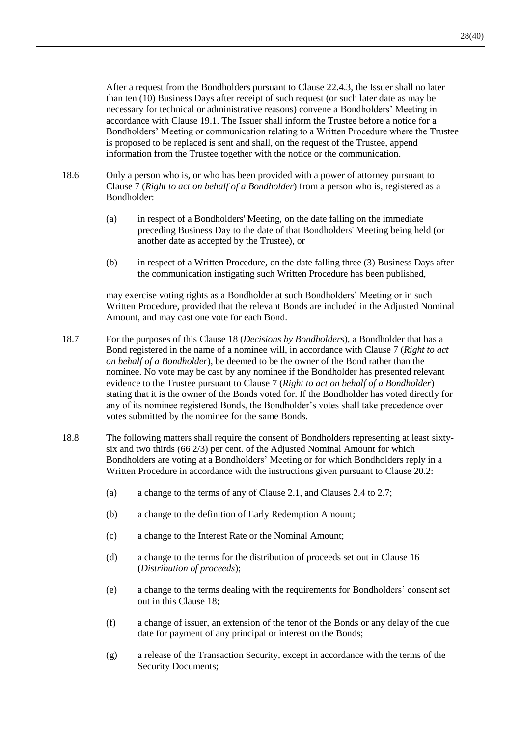After a request from the Bondholders pursuant to Clause [22.4.3,](#page-36-0) the Issuer shall no later than ten (10) Business Days after receipt of such request (or such later date as may be necessary for technical or administrative reasons) convene a Bondholders' Meeting in accordance with Clause [19.1.](#page-31-2) The Issuer shall inform the Trustee before a notice for a Bondholders' Meeting or communication relating to a Written Procedure where the Trustee is proposed to be replaced is sent and shall, on the request of the Trustee, append information from the Trustee together with the notice or the communication.

- 18.6 Only a person who is, or who has been provided with a power of attorney pursuant to Clause [7](#page-14-3) (*Right to act on behalf of a Bondholder*) from a person who is, registered as a Bondholder:
	- (a) in respect of a Bondholders' Meeting, on the date falling on the immediate preceding Business Day to the date of that Bondholders' Meeting being held (or another date as accepted by the Trustee), or
	- (b) in respect of a Written Procedure, on the date falling three (3) Business Days after the communication instigating such Written Procedure has been published,

may exercise voting rights as a Bondholder at such Bondholders' Meeting or in such Written Procedure, provided that the relevant Bonds are included in the Adjusted Nominal Amount, and may cast one vote for each Bond.

- 18.7 For the purposes of this Claus[e 18](#page-28-0) (*Decisions by Bondholders*), a Bondholder that has a Bond registered in the name of a nominee will, in accordance with Clause [7](#page-14-3) (*Right to act on behalf of a Bondholder*), be deemed to be the owner of the Bond rather than the nominee. No vote may be cast by any nominee if the Bondholder has presented relevant evidence to the Trustee pursuant to Clause [7](#page-14-3) (*Right to act on behalf of a Bondholder*) stating that it is the owner of the Bonds voted for. If the Bondholder has voted directly for any of its nominee registered Bonds, the Bondholder's votes shall take precedence over votes submitted by the nominee for the same Bonds.
- <span id="page-29-0"></span>18.8 The following matters shall require the consent of Bondholders representing at least sixtysix and two thirds (66 2/3) per cent. of the Adjusted Nominal Amount for which Bondholders are voting at a Bondholders' Meeting or for which Bondholders reply in a Written Procedure in accordance with the instructions given pursuant to Clause [20.2:](#page-32-2)
	- (a) a change to the terms of any of Clause [2.1,](#page-11-1) and Clauses [2.4](#page-11-2) to [2.7;](#page-11-3)
	- (b) a change to the definition of Early Redemption Amount;
	- (c) a change to the Interest Rate or the Nominal Amount;
	- (d) a change to the terms for the distribution of proceeds set out in Clause [16](#page-26-2) (*Distribution of proceeds*);
	- (e) a change to the terms dealing with the requirements for Bondholders' consent set out in this Clause [18;](#page-28-0)
	- (f) a change of issuer, an extension of the tenor of the Bonds or any delay of the due date for payment of any principal or interest on the Bonds;
	- (g) a release of the Transaction Security, except in accordance with the terms of the Security Documents;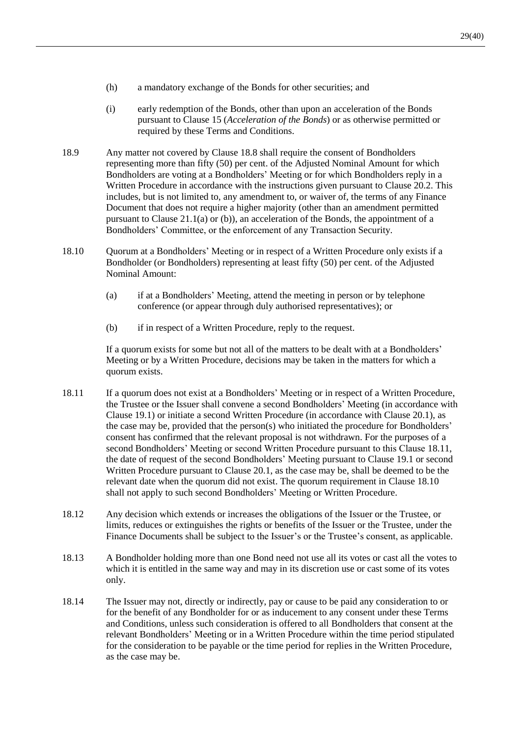- (h) a mandatory exchange of the Bonds for other securities; and
- (i) early redemption of the Bonds, other than upon an acceleration of the Bonds pursuant to Clause [15](#page-24-1) (*Acceleration of the Bonds*) or as otherwise permitted or required by these Terms and Conditions.
- <span id="page-30-2"></span>18.9 Any matter not covered by Clause [18.8](#page-29-0) shall require the consent of Bondholders representing more than fifty (50) per cent. of the Adjusted Nominal Amount for which Bondholders are voting at a Bondholders' Meeting or for which Bondholders reply in a Written Procedure in accordance with the instructions given pursuant to Clause [20.2.](#page-32-2) This includes, but is not limited to, any amendment to, or waiver of, the terms of any Finance Document that does not require a higher majority (other than an amendment permitted pursuant to Clause [21.1\(a\)](#page-32-3) or [\(b\)\)](#page-33-0), an acceleration of the Bonds, the appointment of a Bondholders' Committee, or the enforcement of any Transaction Security.
- <span id="page-30-1"></span>18.10 Quorum at a Bondholders' Meeting or in respect of a Written Procedure only exists if a Bondholder (or Bondholders) representing at least fifty (50) per cent. of the Adjusted Nominal Amount:
	- (a) if at a Bondholders' Meeting, attend the meeting in person or by telephone conference (or appear through duly authorised representatives); or
	- (b) if in respect of a Written Procedure, reply to the request.

If a quorum exists for some but not all of the matters to be dealt with at a Bondholders' Meeting or by a Written Procedure, decisions may be taken in the matters for which a quorum exists.

- <span id="page-30-0"></span>18.11 If a quorum does not exist at a Bondholders' Meeting or in respect of a Written Procedure, the Trustee or the Issuer shall convene a second Bondholders' Meeting (in accordance with Clause [19.1\)](#page-31-2) or initiate a second Written Procedure (in accordance with Clause [20.1\)](#page-32-1), as the case may be, provided that the person(s) who initiated the procedure for Bondholders' consent has confirmed that the relevant proposal is not withdrawn. For the purposes of a second Bondholders' Meeting or second Written Procedure pursuant to this Clause [18.11,](#page-30-0) the date of request of the second Bondholders' Meeting pursuant to Clause [19.1](#page-31-2) or second Written Procedure pursuant to Claus[e 20.1,](#page-32-1) as the case may be, shall be deemed to be the relevant date when the quorum did not exist. The quorum requirement in Clause [18.10](#page-30-1) shall not apply to such second Bondholders' Meeting or Written Procedure.
- 18.12 Any decision which extends or increases the obligations of the Issuer or the Trustee, or limits, reduces or extinguishes the rights or benefits of the Issuer or the Trustee, under the Finance Documents shall be subject to the Issuer's or the Trustee's consent, as applicable.
- 18.13 A Bondholder holding more than one Bond need not use all its votes or cast all the votes to which it is entitled in the same way and may in its discretion use or cast some of its votes only.
- 18.14 The Issuer may not, directly or indirectly, pay or cause to be paid any consideration to or for the benefit of any Bondholder for or as inducement to any consent under these Terms and Conditions, unless such consideration is offered to all Bondholders that consent at the relevant Bondholders' Meeting or in a Written Procedure within the time period stipulated for the consideration to be payable or the time period for replies in the Written Procedure, as the case may be.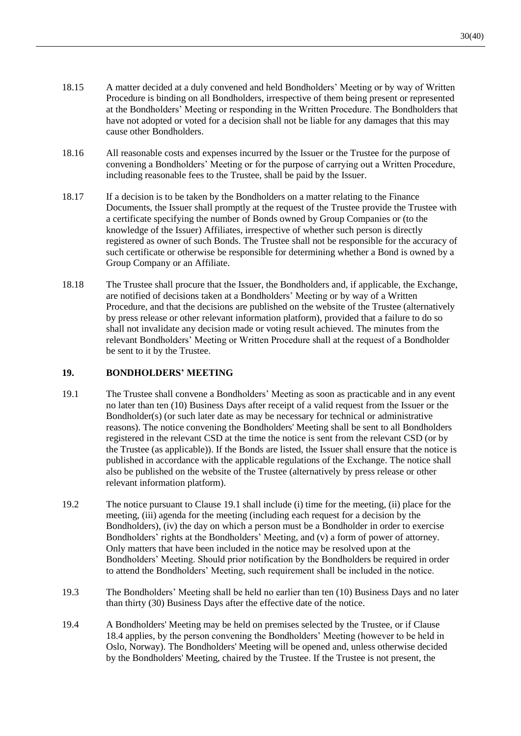- 18.15 A matter decided at a duly convened and held Bondholders' Meeting or by way of Written Procedure is binding on all Bondholders, irrespective of them being present or represented at the Bondholders' Meeting or responding in the Written Procedure. The Bondholders that have not adopted or voted for a decision shall not be liable for any damages that this may cause other Bondholders.
- <span id="page-31-1"></span>18.16 All reasonable costs and expenses incurred by the Issuer or the Trustee for the purpose of convening a Bondholders' Meeting or for the purpose of carrying out a Written Procedure, including reasonable fees to the Trustee, shall be paid by the Issuer.
- 18.17 If a decision is to be taken by the Bondholders on a matter relating to the Finance Documents, the Issuer shall promptly at the request of the Trustee provide the Trustee with a certificate specifying the number of Bonds owned by Group Companies or (to the knowledge of the Issuer) Affiliates, irrespective of whether such person is directly registered as owner of such Bonds. The Trustee shall not be responsible for the accuracy of such certificate or otherwise be responsible for determining whether a Bond is owned by a Group Company or an Affiliate.
- 18.18 The Trustee shall procure that the Issuer, the Bondholders and, if applicable, the Exchange, are notified of decisions taken at a Bondholders' Meeting or by way of a Written Procedure, and that the decisions are published on the website of the Trustee (alternatively by press release or other relevant information platform), provided that a failure to do so shall not invalidate any decision made or voting result achieved. The minutes from the relevant Bondholders' Meeting or Written Procedure shall at the request of a Bondholder be sent to it by the Trustee.

#### <span id="page-31-0"></span>**19. BONDHOLDERS' MEETING**

- <span id="page-31-2"></span>19.1 The Trustee shall convene a Bondholders' Meeting as soon as practicable and in any event no later than ten (10) Business Days after receipt of a valid request from the Issuer or the Bondholder(s) (or such later date as may be necessary for technical or administrative reasons). The notice convening the Bondholders' Meeting shall be sent to all Bondholders registered in the relevant CSD at the time the notice is sent from the relevant CSD (or by the Trustee (as applicable)). If the Bonds are listed, the Issuer shall ensure that the notice is published in accordance with the applicable regulations of the Exchange. The notice shall also be published on the website of the Trustee (alternatively by press release or other relevant information platform).
- 19.2 The notice pursuant to Clause [19.1](#page-31-2) shall include (i) time for the meeting, (ii) place for the meeting, (iii) agenda for the meeting (including each request for a decision by the Bondholders), (iv) the day on which a person must be a Bondholder in order to exercise Bondholders' rights at the Bondholders' Meeting, and (v) a form of power of attorney. Only matters that have been included in the notice may be resolved upon at the Bondholders' Meeting. Should prior notification by the Bondholders be required in order to attend the Bondholders' Meeting, such requirement shall be included in the notice.
- 19.3 The Bondholders' Meeting shall be held no earlier than ten (10) Business Days and no later than thirty (30) Business Days after the effective date of the notice.
- 19.4 A Bondholders' Meeting may be held on premises selected by the Trustee, or if Clause [18.4](#page-28-4) applies, by the person convening the Bondholders' Meeting (however to be held in Oslo, Norway). The Bondholders' Meeting will be opened and, unless otherwise decided by the Bondholders' Meeting, chaired by the Trustee. If the Trustee is not present, the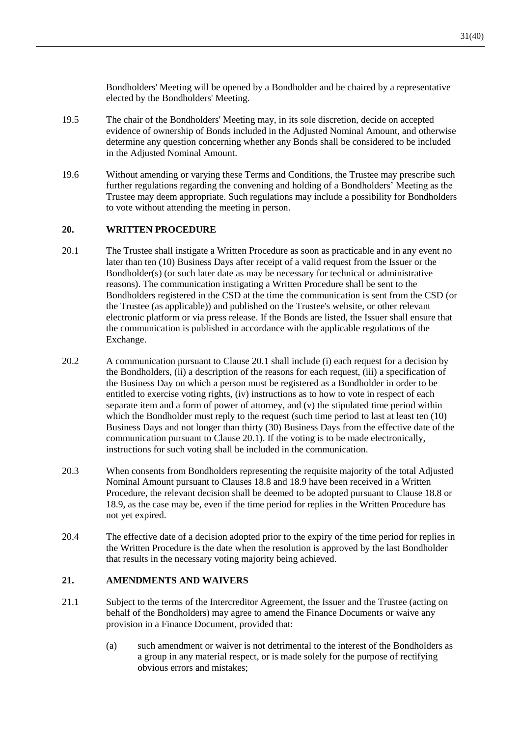Bondholders' Meeting will be opened by a Bondholder and be chaired by a representative elected by the Bondholders' Meeting.

- 19.5 The chair of the Bondholders' Meeting may, in its sole discretion, decide on accepted evidence of ownership of Bonds included in the Adjusted Nominal Amount, and otherwise determine any question concerning whether any Bonds shall be considered to be included in the Adjusted Nominal Amount.
- 19.6 Without amending or varying these Terms and Conditions, the Trustee may prescribe such further regulations regarding the convening and holding of a Bondholders' Meeting as the Trustee may deem appropriate. Such regulations may include a possibility for Bondholders to vote without attending the meeting in person.

## <span id="page-32-0"></span>**20. WRITTEN PROCEDURE**

- <span id="page-32-1"></span>20.1 The Trustee shall instigate a Written Procedure as soon as practicable and in any event no later than ten (10) Business Days after receipt of a valid request from the Issuer or the Bondholder(s) (or such later date as may be necessary for technical or administrative reasons). The communication instigating a Written Procedure shall be sent to the Bondholders registered in the CSD at the time the communication is sent from the CSD (or the Trustee (as applicable)) and published on the Trustee's website, or other relevant electronic platform or via press release. If the Bonds are listed, the Issuer shall ensure that the communication is published in accordance with the applicable regulations of the Exchange.
- <span id="page-32-2"></span>20.2 A communication pursuant to Clause [20.1](#page-32-1) shall include (i) each request for a decision by the Bondholders, (ii) a description of the reasons for each request, (iii) a specification of the Business Day on which a person must be registered as a Bondholder in order to be entitled to exercise voting rights, (iv) instructions as to how to vote in respect of each separate item and a form of power of attorney, and (v) the stipulated time period within which the Bondholder must reply to the request (such time period to last at least ten (10) Business Days and not longer than thirty (30) Business Days from the effective date of the communication pursuant to Clause [20.1\)](#page-32-1). If the voting is to be made electronically, instructions for such voting shall be included in the communication.
- 20.3 When consents from Bondholders representing the requisite majority of the total Adjusted Nominal Amount pursuant to Clauses [18.8](#page-29-0) and [18.9](#page-30-2) have been received in a Written Procedure, the relevant decision shall be deemed to be adopted pursuant to Clause [18.8](#page-29-0) or [18.9,](#page-30-2) as the case may be, even if the time period for replies in the Written Procedure has not yet expired.
- 20.4 The effective date of a decision adopted prior to the expiry of the time period for replies in the Written Procedure is the date when the resolution is approved by the last Bondholder that results in the necessary voting majority being achieved.

#### **21. AMENDMENTS AND WAIVERS**

- <span id="page-32-3"></span>21.1 Subject to the terms of the Intercreditor Agreement, the Issuer and the Trustee (acting on behalf of the Bondholders) may agree to amend the Finance Documents or waive any provision in a Finance Document, provided that:
	- (a) such amendment or waiver is not detrimental to the interest of the Bondholders as a group in any material respect, or is made solely for the purpose of rectifying obvious errors and mistakes;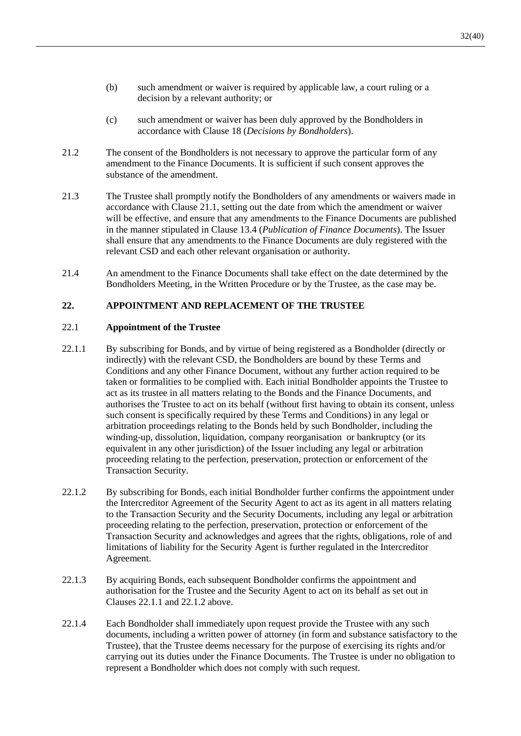- <span id="page-33-0"></span>(b) such amendment or waiver is required by applicable law, a court ruling or a decision by a relevant authority; or
- (c) such amendment or waiver has been duly approved by the Bondholders in accordance with Clause [18](#page-28-0) (*Decisions by Bondholders*).
- 21.2 The consent of the Bondholders is not necessary to approve the particular form of any amendment to the Finance Documents. It is sufficient if such consent approves the substance of the amendment.
- 21.3 The Trustee shall promptly notify the Bondholders of any amendments or waivers made in accordance with Clause [21.1,](#page-32-3) setting out the date from which the amendment or waiver will be effective, and ensure that any amendments to the Finance Documents are published in the manner stipulated in Clause [13.4](#page-21-2) (*Publication of Finance Documents*). The Issuer shall ensure that any amendments to the Finance Documents are duly registered with the relevant CSD and each other relevant organisation or authority.
- 21.4 An amendment to the Finance Documents shall take effect on the date determined by the Bondholders Meeting, in the Written Procedure or by the Trustee, as the case may be.

# **22. APPOINTMENT AND REPLACEMENT OF THE TRUSTEE**

#### 22.1 **Appointment of the Trustee**

- <span id="page-33-1"></span>22.1.1 By subscribing for Bonds, and by virtue of being registered as a Bondholder (directly or indirectly) with the relevant CSD, the Bondholders are bound by these Terms and Conditions and any other Finance Document, without any further action required to be taken or formalities to be complied with. Each initial Bondholder appoints the Trustee to act as its trustee in all matters relating to the Bonds and the Finance Documents, and authorises the Trustee to act on its behalf (without first having to obtain its consent, unless such consent is specifically required by these Terms and Conditions) in any legal or arbitration proceedings relating to the Bonds held by such Bondholder, including the winding-up, dissolution, liquidation, company reorganisation or bankruptcy (or its equivalent in any other jurisdiction) of the Issuer including any legal or arbitration proceeding relating to the perfection, preservation, protection or enforcement of the Transaction Security.
- <span id="page-33-2"></span>22.1.2 By subscribing for Bonds, each initial Bondholder further confirms the appointment under the Intercreditor Agreement of the Security Agent to act as its agent in all matters relating to the Transaction Security and the Security Documents, including any legal or arbitration proceeding relating to the perfection, preservation, protection or enforcement of the Transaction Security and acknowledges and agrees that the rights, obligations, role of and limitations of liability for the Security Agent is further regulated in the Intercreditor Agreement.
- 22.1.3 By acquiring Bonds, each subsequent Bondholder confirms the appointment and authorisation for the Trustee and the Security Agent to act on its behalf as set out in Clauses [22.1.1](#page-33-1) and [22.1.2](#page-33-2) above.
- <span id="page-33-3"></span>22.1.4 Each Bondholder shall immediately upon request provide the Trustee with any such documents, including a written power of attorney (in form and substance satisfactory to the Trustee), that the Trustee deems necessary for the purpose of exercising its rights and/or carrying out its duties under the Finance Documents. The Trustee is under no obligation to represent a Bondholder which does not comply with such request.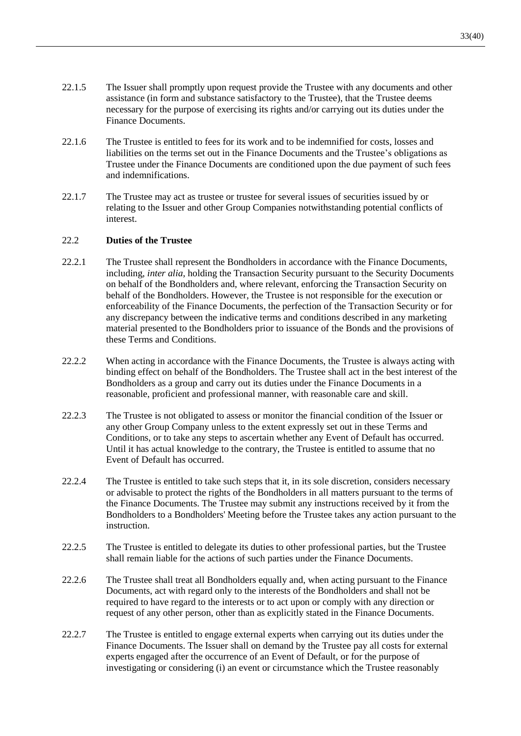- 22.1.5 The Issuer shall promptly upon request provide the Trustee with any documents and other assistance (in form and substance satisfactory to the Trustee), that the Trustee deems necessary for the purpose of exercising its rights and/or carrying out its duties under the Finance Documents.
- 22.1.6 The Trustee is entitled to fees for its work and to be indemnified for costs, losses and liabilities on the terms set out in the Finance Documents and the Trustee's obligations as Trustee under the Finance Documents are conditioned upon the due payment of such fees and indemnifications.
- 22.1.7 The Trustee may act as trustee or trustee for several issues of securities issued by or relating to the Issuer and other Group Companies notwithstanding potential conflicts of interest.

#### 22.2 **Duties of the Trustee**

- 22.2.1 The Trustee shall represent the Bondholders in accordance with the Finance Documents, including, *inter alia*, holding the Transaction Security pursuant to the Security Documents on behalf of the Bondholders and, where relevant, enforcing the Transaction Security on behalf of the Bondholders. However, the Trustee is not responsible for the execution or enforceability of the Finance Documents, the perfection of the Transaction Security or for any discrepancy between the indicative terms and conditions described in any marketing material presented to the Bondholders prior to issuance of the Bonds and the provisions of these Terms and Conditions.
- 22.2.2 When acting in accordance with the Finance Documents, the Trustee is always acting with binding effect on behalf of the Bondholders. The Trustee shall act in the best interest of the Bondholders as a group and carry out its duties under the Finance Documents in a reasonable, proficient and professional manner, with reasonable care and skill.
- 22.2.3 The Trustee is not obligated to assess or monitor the financial condition of the Issuer or any other Group Company unless to the extent expressly set out in these Terms and Conditions, or to take any steps to ascertain whether any Event of Default has occurred. Until it has actual knowledge to the contrary, the Trustee is entitled to assume that no Event of Default has occurred.
- 22.2.4 The Trustee is entitled to take such steps that it, in its sole discretion, considers necessary or advisable to protect the rights of the Bondholders in all matters pursuant to the terms of the Finance Documents. The Trustee may submit any instructions received by it from the Bondholders to a Bondholders' Meeting before the Trustee takes any action pursuant to the instruction.
- 22.2.5 The Trustee is entitled to delegate its duties to other professional parties, but the Trustee shall remain liable for the actions of such parties under the Finance Documents.
- 22.2.6 The Trustee shall treat all Bondholders equally and, when acting pursuant to the Finance Documents, act with regard only to the interests of the Bondholders and shall not be required to have regard to the interests or to act upon or comply with any direction or request of any other person, other than as explicitly stated in the Finance Documents.
- <span id="page-34-0"></span>22.2.7 The Trustee is entitled to engage external experts when carrying out its duties under the Finance Documents. The Issuer shall on demand by the Trustee pay all costs for external experts engaged after the occurrence of an Event of Default, or for the purpose of investigating or considering (i) an event or circumstance which the Trustee reasonably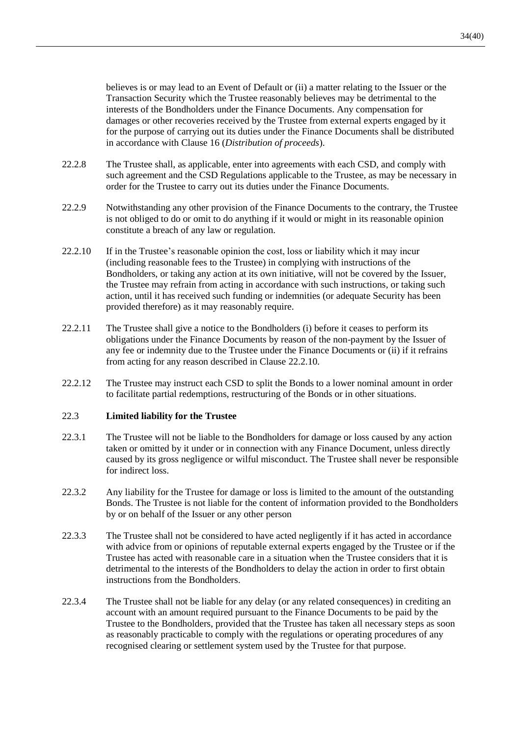believes is or may lead to an Event of Default or (ii) a matter relating to the Issuer or the Transaction Security which the Trustee reasonably believes may be detrimental to the interests of the Bondholders under the Finance Documents. Any compensation for damages or other recoveries received by the Trustee from external experts engaged by it for the purpose of carrying out its duties under the Finance Documents shall be distributed in accordance with Clause [16](#page-26-2) (*Distribution of proceeds*).

- 22.2.8 The Trustee shall, as applicable, enter into agreements with each CSD, and comply with such agreement and the CSD Regulations applicable to the Trustee, as may be necessary in order for the Trustee to carry out its duties under the Finance Documents.
- 22.2.9 Notwithstanding any other provision of the Finance Documents to the contrary, the Trustee is not obliged to do or omit to do anything if it would or might in its reasonable opinion constitute a breach of any law or regulation.
- <span id="page-35-1"></span>22.2.10 If in the Trustee's reasonable opinion the cost, loss or liability which it may incur (including reasonable fees to the Trustee) in complying with instructions of the Bondholders, or taking any action at its own initiative, will not be covered by the Issuer, the Trustee may refrain from acting in accordance with such instructions, or taking such action, until it has received such funding or indemnities (or adequate Security has been provided therefore) as it may reasonably require.
- <span id="page-35-2"></span>22.2.11 The Trustee shall give a notice to the Bondholders (i) before it ceases to perform its obligations under the Finance Documents by reason of the non-payment by the Issuer of any fee or indemnity due to the Trustee under the Finance Documents or (ii) if it refrains from acting for any reason described in Clause [22.2.10.](#page-35-1)
- <span id="page-35-0"></span>22.2.12 The Trustee may instruct each CSD to split the Bonds to a lower nominal amount in order to facilitate partial redemptions, restructuring of the Bonds or in other situations.

#### 22.3 **Limited liability for the Trustee**

- 22.3.1 The Trustee will not be liable to the Bondholders for damage or loss caused by any action taken or omitted by it under or in connection with any Finance Document, unless directly caused by its gross negligence or wilful misconduct. The Trustee shall never be responsible for indirect loss.
- 22.3.2 Any liability for the Trustee for damage or loss is limited to the amount of the outstanding Bonds. The Trustee is not liable for the content of information provided to the Bondholders by or on behalf of the Issuer or any other person
- 22.3.3 The Trustee shall not be considered to have acted negligently if it has acted in accordance with advice from or opinions of reputable external experts engaged by the Trustee or if the Trustee has acted with reasonable care in a situation when the Trustee considers that it is detrimental to the interests of the Bondholders to delay the action in order to first obtain instructions from the Bondholders.
- 22.3.4 The Trustee shall not be liable for any delay (or any related consequences) in crediting an account with an amount required pursuant to the Finance Documents to be paid by the Trustee to the Bondholders, provided that the Trustee has taken all necessary steps as soon as reasonably practicable to comply with the regulations or operating procedures of any recognised clearing or settlement system used by the Trustee for that purpose.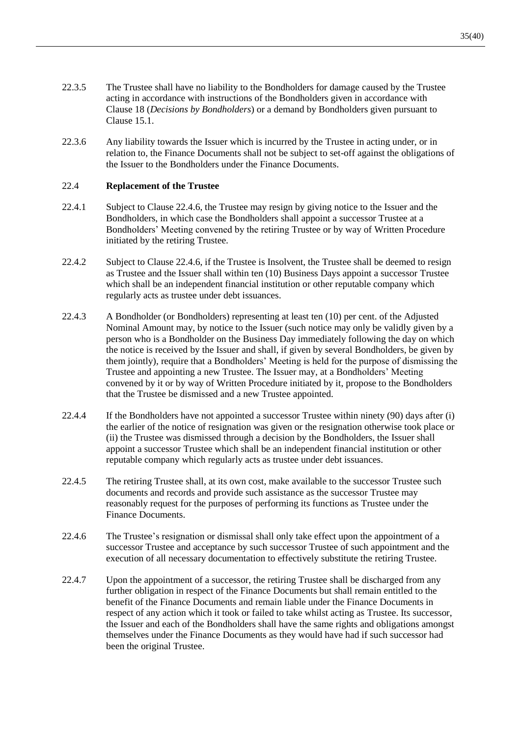- 22.3.5 The Trustee shall have no liability to the Bondholders for damage caused by the Trustee acting in accordance with instructions of the Bondholders given in accordance with Clause [18](#page-28-0) (*Decisions by Bondholders*) or a demand by Bondholders given pursuant to Clause [15.1.](#page-24-0)
- 22.3.6 Any liability towards the Issuer which is incurred by the Trustee in acting under, or in relation to, the Finance Documents shall not be subject to set-off against the obligations of the Issuer to the Bondholders under the Finance Documents.

#### <span id="page-36-2"></span>22.4 **Replacement of the Trustee**

- 22.4.1 Subject to Clause [22.4.6,](#page-36-1) the Trustee may resign by giving notice to the Issuer and the Bondholders, in which case the Bondholders shall appoint a successor Trustee at a Bondholders' Meeting convened by the retiring Trustee or by way of Written Procedure initiated by the retiring Trustee.
- 22.4.2 Subject to Clause [22.4.6,](#page-36-1) if the Trustee is Insolvent, the Trustee shall be deemed to resign as Trustee and the Issuer shall within ten (10) Business Days appoint a successor Trustee which shall be an independent financial institution or other reputable company which regularly acts as trustee under debt issuances.
- <span id="page-36-0"></span>22.4.3 A Bondholder (or Bondholders) representing at least ten (10) per cent. of the Adjusted Nominal Amount may, by notice to the Issuer (such notice may only be validly given by a person who is a Bondholder on the Business Day immediately following the day on which the notice is received by the Issuer and shall, if given by several Bondholders, be given by them jointly), require that a Bondholders' Meeting is held for the purpose of dismissing the Trustee and appointing a new Trustee. The Issuer may, at a Bondholders' Meeting convened by it or by way of Written Procedure initiated by it, propose to the Bondholders that the Trustee be dismissed and a new Trustee appointed.
- 22.4.4 If the Bondholders have not appointed a successor Trustee within ninety (90) days after (i) the earlier of the notice of resignation was given or the resignation otherwise took place or (ii) the Trustee was dismissed through a decision by the Bondholders, the Issuer shall appoint a successor Trustee which shall be an independent financial institution or other reputable company which regularly acts as trustee under debt issuances.
- 22.4.5 The retiring Trustee shall, at its own cost, make available to the successor Trustee such documents and records and provide such assistance as the successor Trustee may reasonably request for the purposes of performing its functions as Trustee under the Finance Documents.
- <span id="page-36-1"></span>22.4.6 The Trustee's resignation or dismissal shall only take effect upon the appointment of a successor Trustee and acceptance by such successor Trustee of such appointment and the execution of all necessary documentation to effectively substitute the retiring Trustee.
- 22.4.7 Upon the appointment of a successor, the retiring Trustee shall be discharged from any further obligation in respect of the Finance Documents but shall remain entitled to the benefit of the Finance Documents and remain liable under the Finance Documents in respect of any action which it took or failed to take whilst acting as Trustee. Its successor, the Issuer and each of the Bondholders shall have the same rights and obligations amongst themselves under the Finance Documents as they would have had if such successor had been the original Trustee.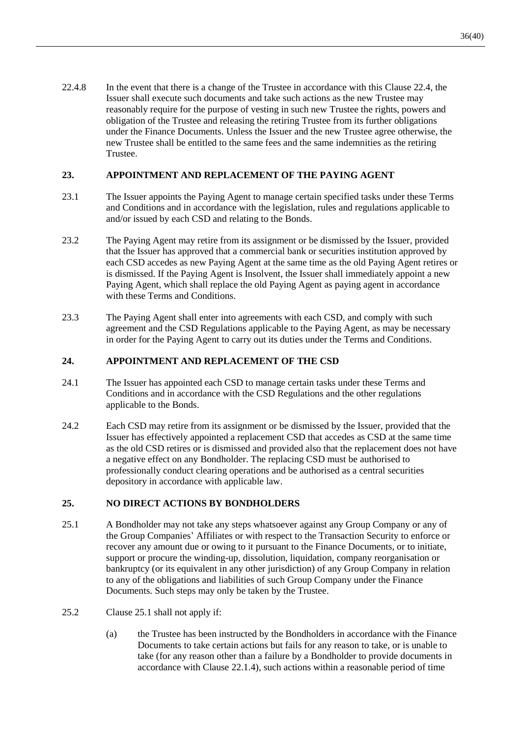22.4.8 In the event that there is a change of the Trustee in accordance with this Clause [22.4,](#page-36-2) the Issuer shall execute such documents and take such actions as the new Trustee may reasonably require for the purpose of vesting in such new Trustee the rights, powers and obligation of the Trustee and releasing the retiring Trustee from its further obligations under the Finance Documents. Unless the Issuer and the new Trustee agree otherwise, the new Trustee shall be entitled to the same fees and the same indemnities as the retiring Trustee.

## **23. APPOINTMENT AND REPLACEMENT OF THE PAYING AGENT**

- 23.1 The Issuer appoints the Paying Agent to manage certain specified tasks under these Terms and Conditions and in accordance with the legislation, rules and regulations applicable to and/or issued by each CSD and relating to the Bonds.
- 23.2 The Paying Agent may retire from its assignment or be dismissed by the Issuer, provided that the Issuer has approved that a commercial bank or securities institution approved by each CSD accedes as new Paying Agent at the same time as the old Paying Agent retires or is dismissed. If the Paying Agent is Insolvent, the Issuer shall immediately appoint a new Paying Agent, which shall replace the old Paying Agent as paying agent in accordance with these Terms and Conditions.
- 23.3 The Paying Agent shall enter into agreements with each CSD, and comply with such agreement and the CSD Regulations applicable to the Paying Agent, as may be necessary in order for the Paying Agent to carry out its duties under the Terms and Conditions.

#### **24. APPOINTMENT AND REPLACEMENT OF THE CSD**

- 24.1 The Issuer has appointed each CSD to manage certain tasks under these Terms and Conditions and in accordance with the CSD Regulations and the other regulations applicable to the Bonds.
- 24.2 Each CSD may retire from its assignment or be dismissed by the Issuer, provided that the Issuer has effectively appointed a replacement CSD that accedes as CSD at the same time as the old CSD retires or is dismissed and provided also that the replacement does not have a negative effect on any Bondholder. The replacing CSD must be authorised to professionally conduct clearing operations and be authorised as a central securities depository in accordance with applicable law.

#### **25. NO DIRECT ACTIONS BY BONDHOLDERS**

- <span id="page-37-0"></span>25.1 A Bondholder may not take any steps whatsoever against any Group Company or any of the Group Companies' Affiliates or with respect to the Transaction Security to enforce or recover any amount due or owing to it pursuant to the Finance Documents, or to initiate, support or procure the winding-up, dissolution, liquidation, company reorganisation or bankruptcy (or its equivalent in any other jurisdiction) of any Group Company in relation to any of the obligations and liabilities of such Group Company under the Finance Documents. Such steps may only be taken by the Trustee.
- 25.2 Clause [25.1](#page-37-0) shall not apply if:
	- (a) the Trustee has been instructed by the Bondholders in accordance with the Finance Documents to take certain actions but fails for any reason to take, or is unable to take (for any reason other than a failure by a Bondholder to provide documents in accordance with Clause [22.1.4\)](#page-33-3), such actions within a reasonable period of time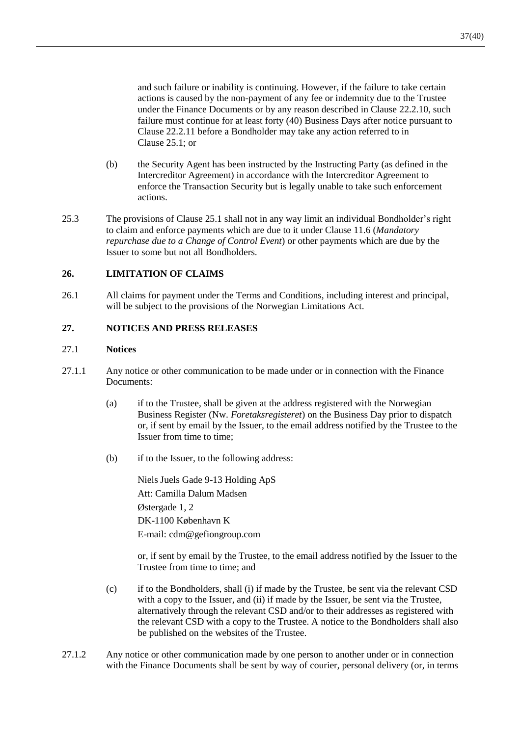and such failure or inability is continuing. However, if the failure to take certain actions is caused by the non-payment of any fee or indemnity due to the Trustee under the Finance Documents or by any reason described in Clause [22.2.10,](#page-35-1) such failure must continue for at least forty (40) Business Days after notice pursuant to Clause [22.2.11](#page-35-2) before a Bondholder may take any action referred to in Clause [25.1;](#page-37-0) or

- (b) the Security Agent has been instructed by the Instructing Party (as defined in the Intercreditor Agreement) in accordance with the Intercreditor Agreement to enforce the Transaction Security but is legally unable to take such enforcement actions.
- 25.3 The provisions of Clause [25.1](#page-37-0) shall not in any way limit an individual Bondholder's right to claim and enforce payments which are due to it under Clause [11.6](#page-18-5) (*Mandatory repurchase due to a Change of Control Event*) or other payments which are due by the Issuer to some but not all Bondholders.

# **26. LIMITATION OF CLAIMS**

26.1 All claims for payment under the Terms and Conditions, including interest and principal, will be subject to the provisions of the Norwegian Limitations Act.

#### **27. NOTICES AND PRESS RELEASES**

#### 27.1 **Notices**

- <span id="page-38-0"></span>27.1.1 Any notice or other communication to be made under or in connection with the Finance Documents:
	- (a) if to the Trustee, shall be given at the address registered with the Norwegian Business Register (Nw. *Foretaksregisteret*) on the Business Day prior to dispatch or, if sent by email by the Issuer, to the email address notified by the Trustee to the Issuer from time to time;
	- (b) if to the Issuer, to the following address:

Niels Juels Gade 9-13 Holding ApS Att: Camilla Dalum Madsen Østergade 1, 2 DK-1100 København K E-mail: cdm@gefiongroup.com

or, if sent by email by the Trustee, to the email address notified by the Issuer to the Trustee from time to time; and

- (c) if to the Bondholders, shall (i) if made by the Trustee, be sent via the relevant CSD with a copy to the Issuer, and (ii) if made by the Issuer, be sent via the Trustee, alternatively through the relevant CSD and/or to their addresses as registered with the relevant CSD with a copy to the Trustee. A notice to the Bondholders shall also be published on the websites of the Trustee.
- 27.1.2 Any notice or other communication made by one person to another under or in connection with the Finance Documents shall be sent by way of courier, personal delivery (or, in terms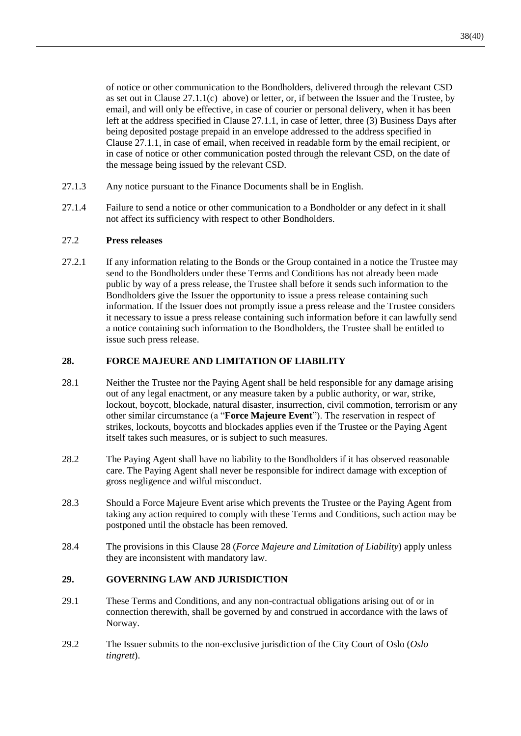of notice or other communication to the Bondholders, delivered through the relevant CSD as set out in Clause  $27.1.1(c)$  above) or letter, or, if between the Issuer and the Trustee, by email, and will only be effective, in case of courier or personal delivery, when it has been left at the address specified in Clause [27.1.1,](#page-38-0) in case of letter, three (3) Business Days after being deposited postage prepaid in an envelope addressed to the address specified in Clause [27.1.1,](#page-38-0) in case of email, when received in readable form by the email recipient, or in case of notice or other communication posted through the relevant CSD, on the date of the message being issued by the relevant CSD.

- 27.1.3 Any notice pursuant to the Finance Documents shall be in English.
- 27.1.4 Failure to send a notice or other communication to a Bondholder or any defect in it shall not affect its sufficiency with respect to other Bondholders.

#### 27.2 **Press releases**

27.2.1 If any information relating to the Bonds or the Group contained in a notice the Trustee may send to the Bondholders under these Terms and Conditions has not already been made public by way of a press release, the Trustee shall before it sends such information to the Bondholders give the Issuer the opportunity to issue a press release containing such information. If the Issuer does not promptly issue a press release and the Trustee considers it necessary to issue a press release containing such information before it can lawfully send a notice containing such information to the Bondholders, the Trustee shall be entitled to issue such press release.

#### <span id="page-39-1"></span>**28. FORCE MAJEURE AND LIMITATION OF LIABILITY**

- <span id="page-39-0"></span>28.1 Neither the Trustee nor the Paying Agent shall be held responsible for any damage arising out of any legal enactment, or any measure taken by a public authority, or war, strike, lockout, boycott, blockade, natural disaster, insurrection, civil commotion, terrorism or any other similar circumstance (a "**Force Majeure Event**"). The reservation in respect of strikes, lockouts, boycotts and blockades applies even if the Trustee or the Paying Agent itself takes such measures, or is subject to such measures.
- 28.2 The Paying Agent shall have no liability to the Bondholders if it has observed reasonable care. The Paying Agent shall never be responsible for indirect damage with exception of gross negligence and wilful misconduct.
- 28.3 Should a Force Majeure Event arise which prevents the Trustee or the Paying Agent from taking any action required to comply with these Terms and Conditions, such action may be postponed until the obstacle has been removed.
- 28.4 The provisions in this Clause [28](#page-39-1) (*Force Majeure and Limitation of Liability*) apply unless they are inconsistent with mandatory law.

#### **29. GOVERNING LAW AND JURISDICTION**

- <span id="page-39-2"></span>29.1 These Terms and Conditions, and any non-contractual obligations arising out of or in connection therewith, shall be governed by and construed in accordance with the laws of Norway.
- <span id="page-39-3"></span>29.2 The Issuer submits to the non-exclusive jurisdiction of the City Court of Oslo (*Oslo tingrett*).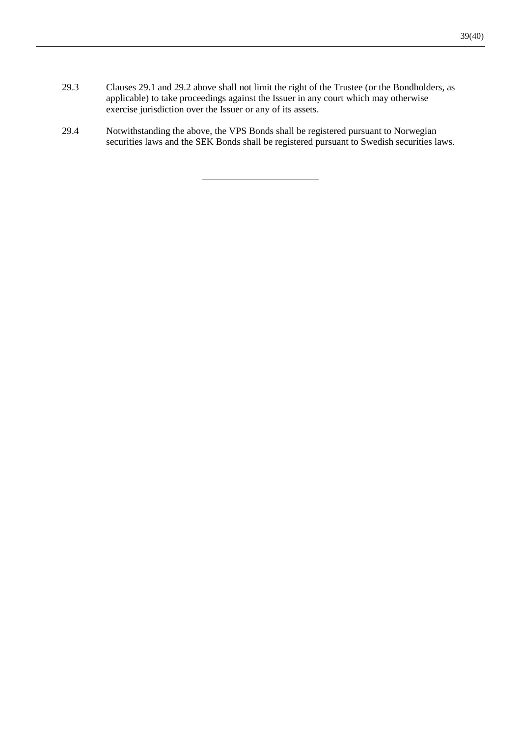- 29.3 Clauses [29.1](#page-39-2) and [29.2](#page-39-3) above shall not limit the right of the Trustee (or the Bondholders, as applicable) to take proceedings against the Issuer in any court which may otherwise exercise jurisdiction over the Issuer or any of its assets.
- 29.4 Notwithstanding the above, the VPS Bonds shall be registered pursuant to Norwegian securities laws and the SEK Bonds shall be registered pursuant to Swedish securities laws.